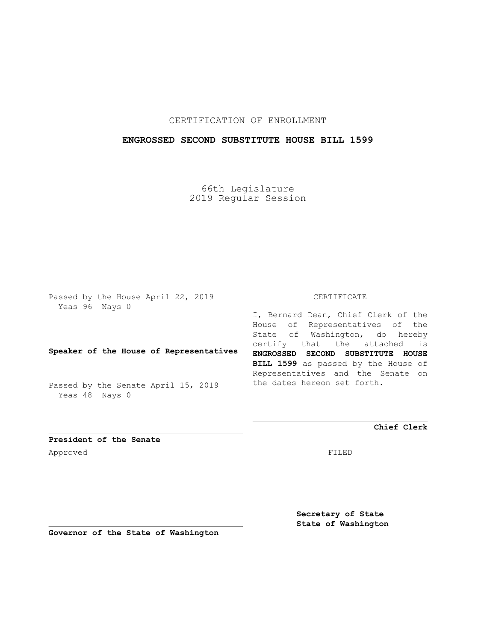## CERTIFICATION OF ENROLLMENT

## **ENGROSSED SECOND SUBSTITUTE HOUSE BILL 1599**

66th Legislature 2019 Regular Session

Passed by the House April 22, 2019 Yeas 96 Nays 0

## **Speaker of the House of Representatives**

Passed by the Senate April 15, 2019 Yeas 48 Nays 0

#### CERTIFICATE

I, Bernard Dean, Chief Clerk of the House of Representatives of the State of Washington, do hereby certify that the attached is **ENGROSSED SECOND SUBSTITUTE HOUSE BILL 1599** as passed by the House of Representatives and the Senate on the dates hereon set forth.

**Chief Clerk**

**President of the Senate** Approved FILED

**Secretary of State State of Washington**

**Governor of the State of Washington**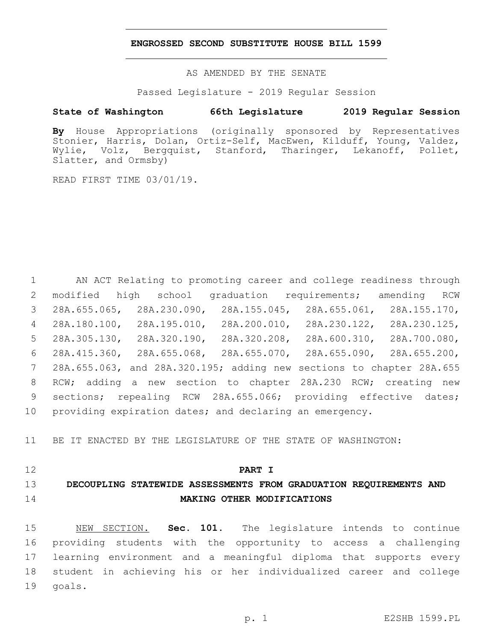### **ENGROSSED SECOND SUBSTITUTE HOUSE BILL 1599**

AS AMENDED BY THE SENATE

Passed Legislature - 2019 Regular Session

## **State of Washington 66th Legislature 2019 Regular Session**

**By** House Appropriations (originally sponsored by Representatives Stonier, Harris, Dolan, Ortiz-Self, MacEwen, Kilduff, Young, Valdez, Wylie, Volz, Bergquist, Stanford, Tharinger, Lekanoff, Pollet, Slatter, and Ormsby)

READ FIRST TIME 03/01/19.

 AN ACT Relating to promoting career and college readiness through modified high school graduation requirements; amending RCW 28A.655.065, 28A.230.090, 28A.155.045, 28A.655.061, 28A.155.170, 28A.180.100, 28A.195.010, 28A.200.010, 28A.230.122, 28A.230.125, 28A.305.130, 28A.320.190, 28A.320.208, 28A.600.310, 28A.700.080, 28A.415.360, 28A.655.068, 28A.655.070, 28A.655.090, 28A.655.200, 28A.655.063, and 28A.320.195; adding new sections to chapter 28A.655 RCW; adding a new section to chapter 28A.230 RCW; creating new 9 sections; repealing RCW 28A.655.066; providing effective dates; providing expiration dates; and declaring an emergency.

BE IT ENACTED BY THE LEGISLATURE OF THE STATE OF WASHINGTON:

### **PART I**

## **DECOUPLING STATEWIDE ASSESSMENTS FROM GRADUATION REQUIREMENTS AND MAKING OTHER MODIFICATIONS**

 NEW SECTION. **Sec. 101.** The legislature intends to continue providing students with the opportunity to access a challenging learning environment and a meaningful diploma that supports every student in achieving his or her individualized career and college goals.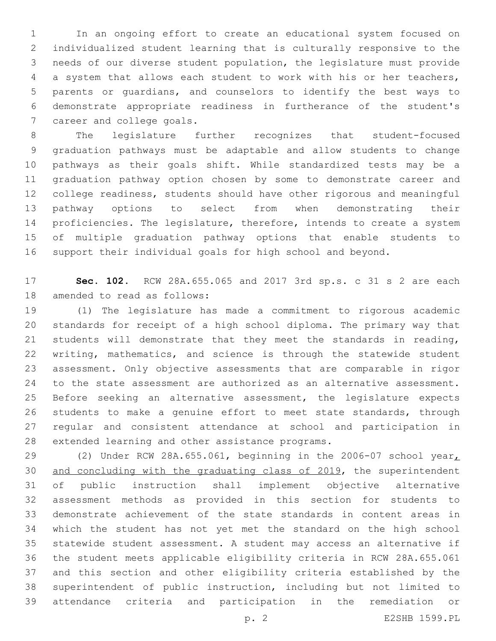In an ongoing effort to create an educational system focused on individualized student learning that is culturally responsive to the needs of our diverse student population, the legislature must provide a system that allows each student to work with his or her teachers, parents or guardians, and counselors to identify the best ways to demonstrate appropriate readiness in furtherance of the student's 7 career and college goals.

 The legislature further recognizes that student-focused graduation pathways must be adaptable and allow students to change pathways as their goals shift. While standardized tests may be a graduation pathway option chosen by some to demonstrate career and college readiness, students should have other rigorous and meaningful pathway options to select from when demonstrating their proficiencies. The legislature, therefore, intends to create a system of multiple graduation pathway options that enable students to support their individual goals for high school and beyond.

 **Sec. 102.** RCW 28A.655.065 and 2017 3rd sp.s. c 31 s 2 are each 18 amended to read as follows:

 (1) The legislature has made a commitment to rigorous academic standards for receipt of a high school diploma. The primary way that students will demonstrate that they meet the standards in reading, writing, mathematics, and science is through the statewide student assessment. Only objective assessments that are comparable in rigor to the state assessment are authorized as an alternative assessment. 25 Before seeking an alternative assessment, the legislature expects 26 students to make a genuine effort to meet state standards, through regular and consistent attendance at school and participation in 28 extended learning and other assistance programs.

 (2) Under RCW 28A.655.061, beginning in the 2006-07 school year, 30 and concluding with the graduating class of 2019, the superintendent of public instruction shall implement objective alternative assessment methods as provided in this section for students to demonstrate achievement of the state standards in content areas in which the student has not yet met the standard on the high school statewide student assessment. A student may access an alternative if the student meets applicable eligibility criteria in RCW 28A.655.061 and this section and other eligibility criteria established by the superintendent of public instruction, including but not limited to attendance criteria and participation in the remediation or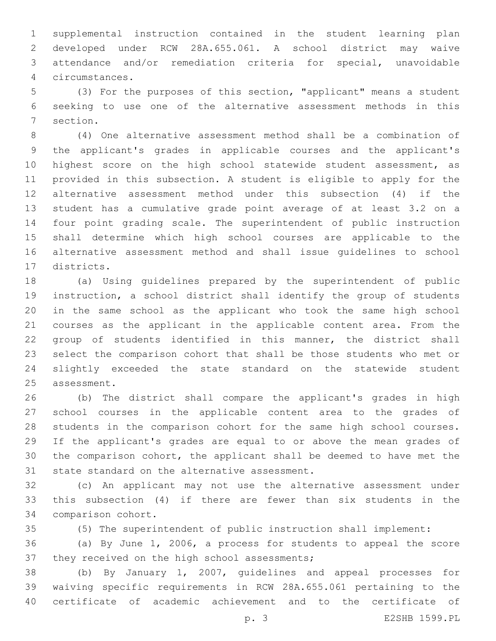supplemental instruction contained in the student learning plan developed under RCW 28A.655.061. A school district may waive attendance and/or remediation criteria for special, unavoidable circumstances.4

 (3) For the purposes of this section, "applicant" means a student seeking to use one of the alternative assessment methods in this 7 section.

 (4) One alternative assessment method shall be a combination of the applicant's grades in applicable courses and the applicant's highest score on the high school statewide student assessment, as provided in this subsection. A student is eligible to apply for the alternative assessment method under this subsection (4) if the student has a cumulative grade point average of at least 3.2 on a four point grading scale. The superintendent of public instruction shall determine which high school courses are applicable to the alternative assessment method and shall issue guidelines to school 17 districts.

 (a) Using guidelines prepared by the superintendent of public instruction, a school district shall identify the group of students in the same school as the applicant who took the same high school courses as the applicant in the applicable content area. From the group of students identified in this manner, the district shall select the comparison cohort that shall be those students who met or slightly exceeded the state standard on the statewide student 25 assessment.

 (b) The district shall compare the applicant's grades in high school courses in the applicable content area to the grades of students in the comparison cohort for the same high school courses. If the applicant's grades are equal to or above the mean grades of the comparison cohort, the applicant shall be deemed to have met the 31 state standard on the alternative assessment.

 (c) An applicant may not use the alternative assessment under this subsection (4) if there are fewer than six students in the 34 comparison cohort.

(5) The superintendent of public instruction shall implement:

 (a) By June 1, 2006, a process for students to appeal the score 37 they received on the high school assessments;

 (b) By January 1, 2007, guidelines and appeal processes for waiving specific requirements in RCW 28A.655.061 pertaining to the certificate of academic achievement and to the certificate of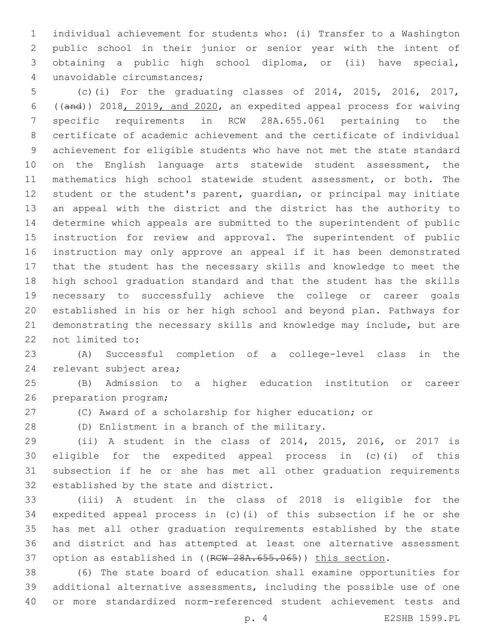individual achievement for students who: (i) Transfer to a Washington public school in their junior or senior year with the intent of obtaining a public high school diploma, or (ii) have special, unavoidable circumstances;4

 (c)(i) For the graduating classes of 2014, 2015, 2016, 2017, ((and)) 2018, 2019, and 2020, an expedited appeal process for waiving specific requirements in RCW 28A.655.061 pertaining to the certificate of academic achievement and the certificate of individual 9 achievement for eligible students who have not met the state standard on the English language arts statewide student assessment, the mathematics high school statewide student assessment, or both. The student or the student's parent, guardian, or principal may initiate an appeal with the district and the district has the authority to determine which appeals are submitted to the superintendent of public instruction for review and approval. The superintendent of public instruction may only approve an appeal if it has been demonstrated that the student has the necessary skills and knowledge to meet the high school graduation standard and that the student has the skills necessary to successfully achieve the college or career goals established in his or her high school and beyond plan. Pathways for demonstrating the necessary skills and knowledge may include, but are 22 not limited to:

 (A) Successful completion of a college-level class in the 24 relevant subject area;

 (B) Admission to a higher education institution or career 26 preparation program;

(C) Award of a scholarship for higher education; or

(D) Enlistment in a branch of the military.28

 (ii) A student in the class of 2014, 2015, 2016, or 2017 is eligible for the expedited appeal process in (c)(i) of this subsection if he or she has met all other graduation requirements 32 established by the state and district.

 (iii) A student in the class of 2018 is eligible for the expedited appeal process in (c)(i) of this subsection if he or she has met all other graduation requirements established by the state and district and has attempted at least one alternative assessment 37 option as established in ((RCW 28A.655.065)) this section.

 (6) The state board of education shall examine opportunities for additional alternative assessments, including the possible use of one or more standardized norm-referenced student achievement tests and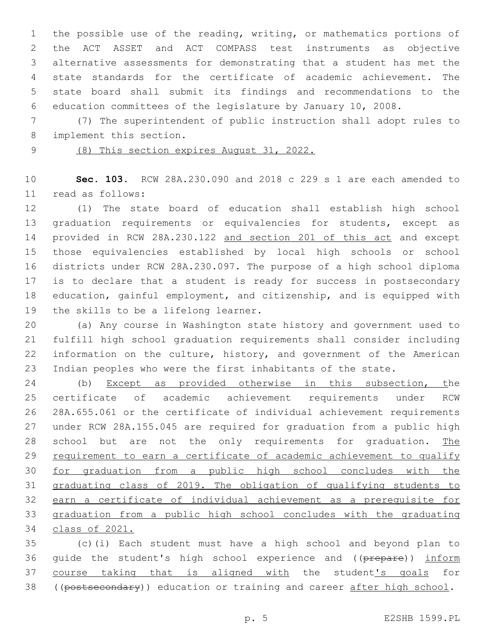the possible use of the reading, writing, or mathematics portions of the ACT ASSET and ACT COMPASS test instruments as objective alternative assessments for demonstrating that a student has met the state standards for the certificate of academic achievement. The state board shall submit its findings and recommendations to the education committees of the legislature by January 10, 2008.

 (7) The superintendent of public instruction shall adopt rules to 8 implement this section.

(8) This section expires August 31, 2022.

 **Sec. 103.** RCW 28A.230.090 and 2018 c 229 s 1 are each amended to read as follows:11

 (1) The state board of education shall establish high school graduation requirements or equivalencies for students, except as provided in RCW 28A.230.122 and section 201 of this act and except those equivalencies established by local high schools or school districts under RCW 28A.230.097. The purpose of a high school diploma is to declare that a student is ready for success in postsecondary education, gainful employment, and citizenship, and is equipped with 19 the skills to be a lifelong learner.

 (a) Any course in Washington state history and government used to fulfill high school graduation requirements shall consider including information on the culture, history, and government of the American Indian peoples who were the first inhabitants of the state.

 (b) Except as provided otherwise in this subsection, the certificate of academic achievement requirements under RCW 28A.655.061 or the certificate of individual achievement requirements under RCW 28A.155.045 are required for graduation from a public high 28 school but are not the only requirements for graduation. The 29 requirement to earn a certificate of academic achievement to qualify for graduation from a public high school concludes with the graduating class of 2019. The obligation of qualifying students to earn a certificate of individual achievement as a prerequisite for graduation from a public high school concludes with the graduating class of 2021.

 (c)(i) Each student must have a high school and beyond plan to 36 quide the student's high school experience and ((prepare)) inform 37 course taking that is aligned with the student's goals for 38 ((postsecondary)) education or training and career after high school.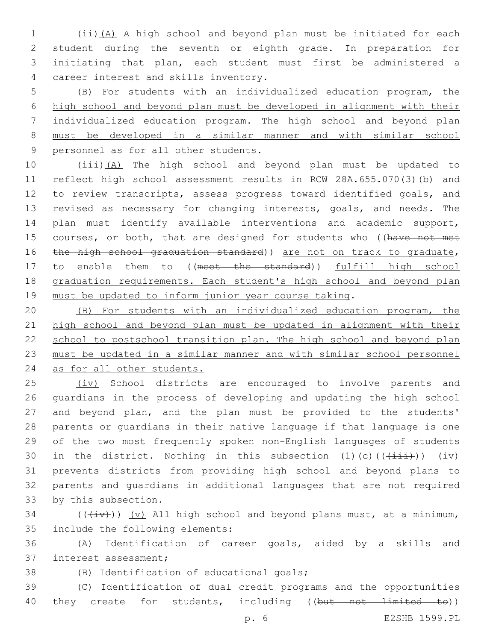(ii)(A) A high school and beyond plan must be initiated for each student during the seventh or eighth grade. In preparation for initiating that plan, each student must first be administered a career interest and skills inventory.4

 (B) For students with an individualized education program, the high school and beyond plan must be developed in alignment with their individualized education program. The high school and beyond plan must be developed in a similar manner and with similar school personnel as for all other students.

 (iii)(A) The high school and beyond plan must be updated to reflect high school assessment results in RCW 28A.655.070(3)(b) and to review transcripts, assess progress toward identified goals, and revised as necessary for changing interests, goals, and needs. The plan must identify available interventions and academic support, 15 courses, or both, that are designed for students who ((have not met 16 the high school graduation standard)) are not on track to graduate, 17 to enable them to ((meet the standard)) fulfill high school 18 graduation requirements. Each student's high school and beyond plan must be updated to inform junior year course taking.

 (B) For students with an individualized education program, the high school and beyond plan must be updated in alignment with their 22 school to postschool transition plan. The high school and beyond plan must be updated in a similar manner and with similar school personnel as for all other students.

25 (iv) School districts are encouraged to involve parents and guardians in the process of developing and updating the high school and beyond plan, and the plan must be provided to the students' parents or guardians in their native language if that language is one of the two most frequently spoken non-English languages of students 30 in the district. Nothing in this subsection (1)(c)( $(\frac{+}{+i})$ ) (iv) prevents districts from providing high school and beyond plans to parents and guardians in additional languages that are not required 33 by this subsection.

34 ( $(\overline{(+i\cdot)})(y)$  All high school and beyond plans must, at a minimum, 35 include the following elements:

 (A) Identification of career goals, aided by a skills and 37 interest assessment;

(B) Identification of educational goals;

 (C) Identification of dual credit programs and the opportunities 40 they create for students, including ((but not limited to))

p. 6 E2SHB 1599.PL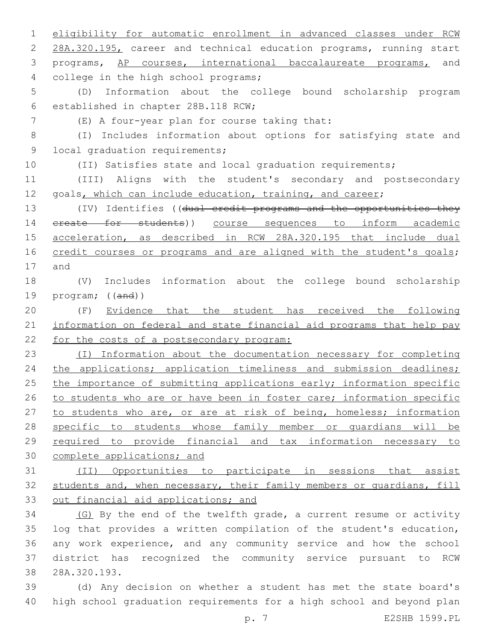1 eligibility for automatic enrollment in advanced classes under RCW 2 28A.320.195, career and technical education programs, running start 3 programs, AP courses, international baccalaureate programs, and 4 college in the high school programs; 5 (D) Information about the college bound scholarship program 6 established in chapter 28B.118 RCW; (E) A four-year plan for course taking that:7 8 (I) Includes information about options for satisfying state and 9 local graduation requirements; 10 (II) Satisfies state and local graduation requirements; 11 (III) Aligns with the student's secondary and postsecondary 12 goals, which can include education, training, and career; 13 (IV) Identifies ((dual credit programs and the opportunities they 14 ereate for students)) course sequences to inform academic 15 acceleration, as described in RCW 28A.320.195 that include dual 16 credit courses or programs and are aligned with the student's goals; 17 and 18 (V) Includes information about the college bound scholarship 19 program; ((and)) 20 (F) Evidence that the student has received the following 21 information on federal and state financial aid programs that help pay 22 for the costs of a postsecondary program: 23 (I) Information about the documentation necessary for completing 24 the applications; application timeliness and submission deadlines; 25 the importance of submitting applications early; information specific 26 to students who are or have been in foster care; information specific 27 to students who are, or are at risk of being, homeless; information 28 specific to students whose family member or guardians will be 29 required to provide financial and tax information necessary to 30 complete applications; and 31 (II) Opportunities to participate in sessions that assist 32 students and, when necessary, their family members or quardians, fill 33 out financial aid applications; and 34 (G) By the end of the twelfth grade, a current resume or activity 35 log that provides a written compilation of the student's education, 36 any work experience, and any community service and how the school 37 district has recognized the community service pursuant to RCW 38 28A.320.193. 39 (d) Any decision on whether a student has met the state board's 40 high school graduation requirements for a high school and beyond plan

p. 7 E2SHB 1599.PL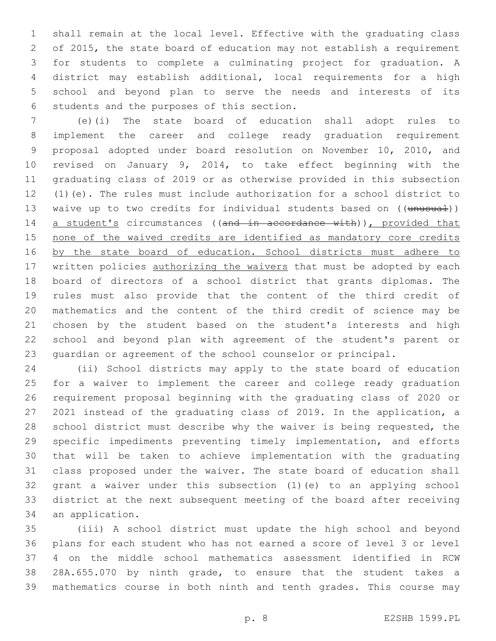shall remain at the local level. Effective with the graduating class of 2015, the state board of education may not establish a requirement for students to complete a culminating project for graduation. A district may establish additional, local requirements for a high school and beyond plan to serve the needs and interests of its 6 students and the purposes of this section.

 (e)(i) The state board of education shall adopt rules to implement the career and college ready graduation requirement proposal adopted under board resolution on November 10, 2010, and revised on January 9, 2014, to take effect beginning with the graduating class of 2019 or as otherwise provided in this subsection (1)(e). The rules must include authorization for a school district to 13 waive up to two credits for individual students based on ((unusual)) 14 a student's circumstances ((and in accordance with)), provided that none of the waived credits are identified as mandatory core credits 16 by the state board of education. School districts must adhere to 17 written policies authorizing the waivers that must be adopted by each board of directors of a school district that grants diplomas. The rules must also provide that the content of the third credit of mathematics and the content of the third credit of science may be chosen by the student based on the student's interests and high school and beyond plan with agreement of the student's parent or guardian or agreement of the school counselor or principal.

 (ii) School districts may apply to the state board of education for a waiver to implement the career and college ready graduation requirement proposal beginning with the graduating class of 2020 or 2021 instead of the graduating class of 2019. In the application, a school district must describe why the waiver is being requested, the specific impediments preventing timely implementation, and efforts that will be taken to achieve implementation with the graduating class proposed under the waiver. The state board of education shall grant a waiver under this subsection (1)(e) to an applying school district at the next subsequent meeting of the board after receiving 34 an application.

 (iii) A school district must update the high school and beyond plans for each student who has not earned a score of level 3 or level 4 on the middle school mathematics assessment identified in RCW 28A.655.070 by ninth grade, to ensure that the student takes a mathematics course in both ninth and tenth grades. This course may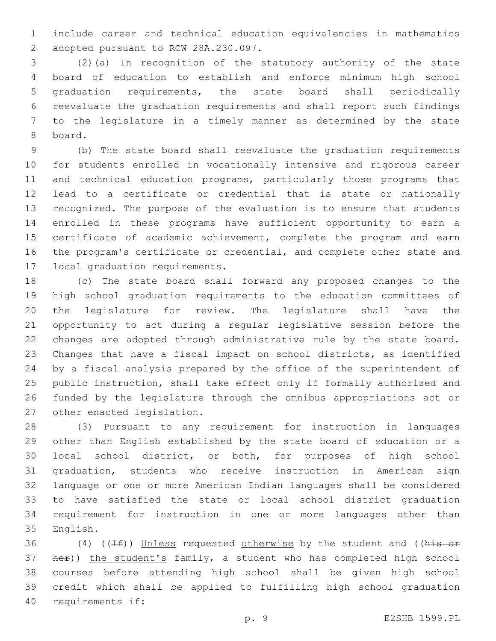include career and technical education equivalencies in mathematics 2 adopted pursuant to RCW 28A.230.097.

 (2)(a) In recognition of the statutory authority of the state board of education to establish and enforce minimum high school graduation requirements, the state board shall periodically reevaluate the graduation requirements and shall report such findings to the legislature in a timely manner as determined by the state 8 board.

 (b) The state board shall reevaluate the graduation requirements for students enrolled in vocationally intensive and rigorous career 11 and technical education programs, particularly those programs that lead to a certificate or credential that is state or nationally recognized. The purpose of the evaluation is to ensure that students enrolled in these programs have sufficient opportunity to earn a 15 certificate of academic achievement, complete the program and earn the program's certificate or credential, and complete other state and 17 local graduation requirements.

 (c) The state board shall forward any proposed changes to the high school graduation requirements to the education committees of the legislature for review. The legislature shall have the opportunity to act during a regular legislative session before the changes are adopted through administrative rule by the state board. Changes that have a fiscal impact on school districts, as identified by a fiscal analysis prepared by the office of the superintendent of public instruction, shall take effect only if formally authorized and funded by the legislature through the omnibus appropriations act or 27 other enacted legislation.

 (3) Pursuant to any requirement for instruction in languages other than English established by the state board of education or a local school district, or both, for purposes of high school graduation, students who receive instruction in American sign language or one or more American Indian languages shall be considered to have satisfied the state or local school district graduation requirement for instruction in one or more languages other than 35 English.

36 (4) ((If)) Unless requested otherwise by the student and ((his or her)) the student's family, a student who has completed high school courses before attending high school shall be given high school credit which shall be applied to fulfilling high school graduation 40 requirements if: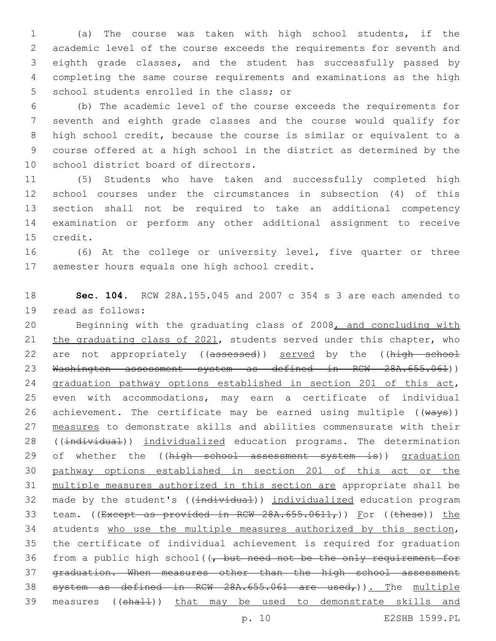(a) The course was taken with high school students, if the academic level of the course exceeds the requirements for seventh and eighth grade classes, and the student has successfully passed by completing the same course requirements and examinations as the high 5 school students enrolled in the class; or

 (b) The academic level of the course exceeds the requirements for seventh and eighth grade classes and the course would qualify for high school credit, because the course is similar or equivalent to a course offered at a high school in the district as determined by the 10 school district board of directors.

 (5) Students who have taken and successfully completed high school courses under the circumstances in subsection (4) of this section shall not be required to take an additional competency examination or perform any other additional assignment to receive 15 credit.

16 (6) At the college or university level, five quarter or three 17 semester hours equals one high school credit.

18 **Sec. 104.** RCW 28A.155.045 and 2007 c 354 s 3 are each amended to 19 read as follows:

20 Beginning with the graduating class of 2008, and concluding with 21 the graduating class of 2021, students served under this chapter, who 22 are not appropriately ((assessed)) served by the ((high school 23 Washington assessment system as defined in RCW 28A.655.061)) 24 graduation pathway options established in section 201 of this act, 25 even with accommodations, may earn a certificate of individual 26 achievement. The certificate may be earned using multiple  $((\text{ways}))$ 27 measures to demonstrate skills and abilities commensurate with their 28 ((individual)) individualized education programs. The determination 29 of whether the ((high school assessment system is)) graduation 30 pathway options established in section 201 of this act or the 31 multiple measures authorized in this section are appropriate shall be 32 made by the student's ((individual)) individualized education program 33 team. ((Except as provided in RCW  $28A.655.0611<sub>r</sub>$ )) For ((these)) the 34 students who use the multiple measures authorized by this section, 35 the certificate of individual achievement is required for graduation 36 from a public high school  $((\tau, but \text{ need not be the only requirement for}$ 37 graduation. When measures other than the high school assessment 38 system as defined in RCW 28A.655.061 are used,)). The multiple 39 measures ((shall)) that may be used to demonstrate skills and

p. 10 E2SHB 1599.PL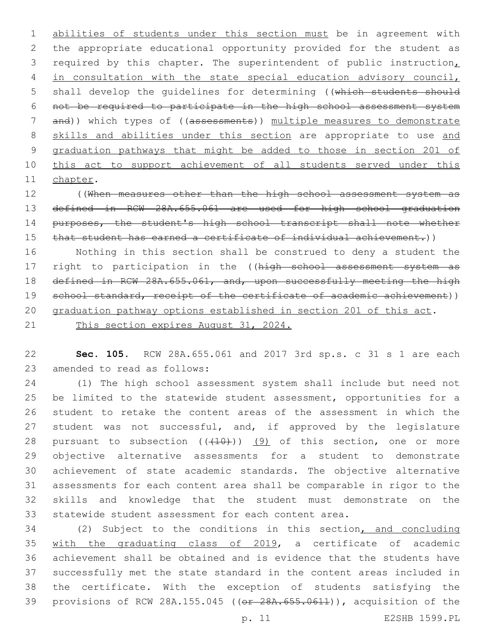abilities of students under this section must be in agreement with the appropriate educational opportunity provided for the student as 3 required by this chapter. The superintendent of public instruction, 4 in consultation with the state special education advisory council, 5 shall develop the quidelines for determining ((which students should not be required to participate in the high school assessment system and)) which types of ((assessments)) multiple measures to demonstrate 8 skills and abilities under this section are appropriate to use and graduation pathways that might be added to those in section 201 of 10 this act to support achievement of all students served under this 11 chapter.

 ((When measures other than the high school assessment system as defined in RCW 28A.655.061 are used for high school graduation 14 purposes, the student's high school transcript shall note whether 15 that student has earned a certificate of individual achievement.))

 Nothing in this section shall be construed to deny a student the 17 right to participation in the ((high school assessment system as 18 defined in RCW 28A.655.061, and, upon successfully meeting the high 19 school standard, receipt of the certificate of academic achievement)) graduation pathway options established in section 201 of this act.

This section expires August 31, 2024.

 **Sec. 105.** RCW 28A.655.061 and 2017 3rd sp.s. c 31 s 1 are each 23 amended to read as follows:

 (1) The high school assessment system shall include but need not be limited to the statewide student assessment, opportunities for a student to retake the content areas of the assessment in which the 27 student was not successful, and, if approved by the legislature 28 pursuant to subsection  $((+10))$   $(9)$  of this section, one or more objective alternative assessments for a student to demonstrate achievement of state academic standards. The objective alternative assessments for each content area shall be comparable in rigor to the skills and knowledge that the student must demonstrate on the statewide student assessment for each content area.

 (2) Subject to the conditions in this section, and concluding with the graduating class of 2019, a certificate of academic achievement shall be obtained and is evidence that the students have successfully met the state standard in the content areas included in the certificate. With the exception of students satisfying the provisions of RCW 28A.155.045 ((or 28A.655.0611)), acquisition of the

p. 11 E2SHB 1599.PL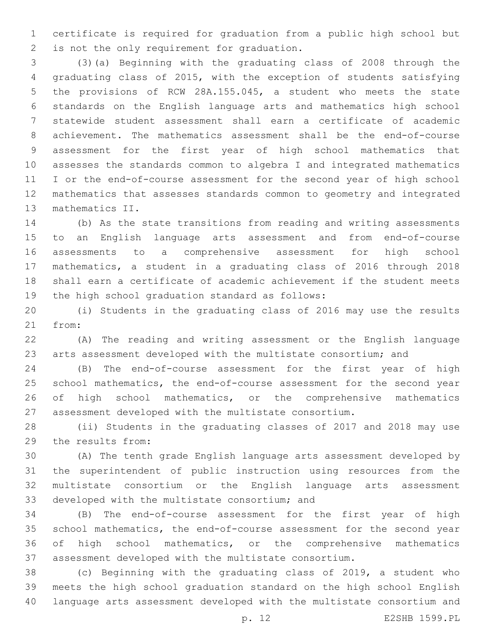certificate is required for graduation from a public high school but 2 is not the only requirement for graduation.

 (3)(a) Beginning with the graduating class of 2008 through the graduating class of 2015, with the exception of students satisfying the provisions of RCW 28A.155.045, a student who meets the state standards on the English language arts and mathematics high school statewide student assessment shall earn a certificate of academic achievement. The mathematics assessment shall be the end-of-course assessment for the first year of high school mathematics that assesses the standards common to algebra I and integrated mathematics I or the end-of-course assessment for the second year of high school mathematics that assesses standards common to geometry and integrated 13 mathematics II.

 (b) As the state transitions from reading and writing assessments to an English language arts assessment and from end-of-course assessments to a comprehensive assessment for high school mathematics, a student in a graduating class of 2016 through 2018 shall earn a certificate of academic achievement if the student meets 19 the high school graduation standard as follows:

 (i) Students in the graduating class of 2016 may use the results 21 from:

 (A) The reading and writing assessment or the English language arts assessment developed with the multistate consortium; and

 (B) The end-of-course assessment for the first year of high 25 school mathematics, the end-of-course assessment for the second year of high school mathematics, or the comprehensive mathematics assessment developed with the multistate consortium.

 (ii) Students in the graduating classes of 2017 and 2018 may use 29 the results from:

 (A) The tenth grade English language arts assessment developed by the superintendent of public instruction using resources from the multistate consortium or the English language arts assessment 33 developed with the multistate consortium; and

 (B) The end-of-course assessment for the first year of high school mathematics, the end-of-course assessment for the second year of high school mathematics, or the comprehensive mathematics assessment developed with the multistate consortium.

 (c) Beginning with the graduating class of 2019, a student who meets the high school graduation standard on the high school English language arts assessment developed with the multistate consortium and

p. 12 E2SHB 1599.PL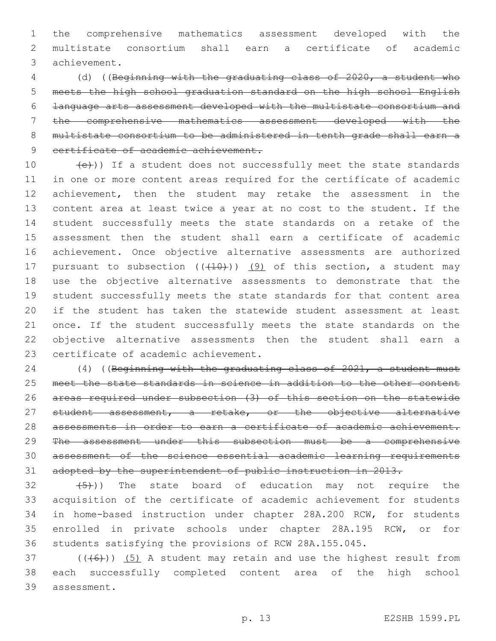the comprehensive mathematics assessment developed with the multistate consortium shall earn a certificate of academic achievement.3

 (d) ((Beginning with the graduating class of 2020, a student who meets the high school graduation standard on the high school English language arts assessment developed with the multistate consortium and the comprehensive mathematics assessment developed with the multistate consortium to be administered in tenth grade shall earn a 9 certificate of academic achievement.

 $(e)$ )) If a student does not successfully meet the state standards in one or more content areas required for the certificate of academic achievement, then the student may retake the assessment in the content area at least twice a year at no cost to the student. If the student successfully meets the state standards on a retake of the assessment then the student shall earn a certificate of academic achievement. Once objective alternative assessments are authorized 17 pursuant to subsection  $((+10))$   $(9)$  of this section, a student may use the objective alternative assessments to demonstrate that the 19 student successfully meets the state standards for that content area if the student has taken the statewide student assessment at least 21 once. If the student successfully meets the state standards on the objective alternative assessments then the student shall earn a 23 certificate of academic achievement.

 (4) ((Beginning with the graduating class of 2021, a student must meet the state standards in science in addition to the other content areas required under subsection (3) of this section on the statewide 27 student assessment, a retake, or the objective alternative assessments in order to earn a certificate of academic achievement. The assessment under this subsection must be a comprehensive assessment of the science essential academic learning requirements adopted by the superintendent of public instruction in 2013.

 $(32 \t (5))$  The state board of education may not require the acquisition of the certificate of academic achievement for students in home-based instruction under chapter 28A.200 RCW, for students enrolled in private schools under chapter 28A.195 RCW, or for students satisfying the provisions of RCW 28A.155.045.

 (( $(46)$ )) (5) A student may retain and use the highest result from each successfully completed content area of the high school 39 assessment.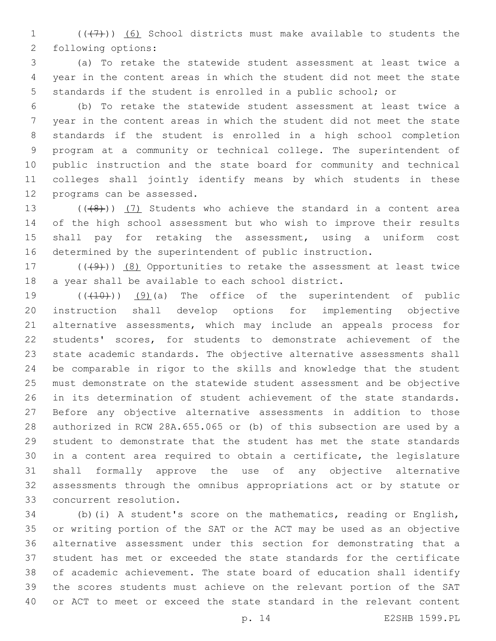1  $((+7)$ ) (6) School districts must make available to students the 2 following options:

 (a) To retake the statewide student assessment at least twice a year in the content areas in which the student did not meet the state standards if the student is enrolled in a public school; or

 (b) To retake the statewide student assessment at least twice a year in the content areas in which the student did not meet the state standards if the student is enrolled in a high school completion program at a community or technical college. The superintendent of public instruction and the state board for community and technical colleges shall jointly identify means by which students in these 12 programs can be assessed.

 $((+8))$   $(7)$  Students who achieve the standard in a content area of the high school assessment but who wish to improve their results shall pay for retaking the assessment, using a uniform cost determined by the superintendent of public instruction.

17  $((49)$ )  $(8)$  Opportunities to retake the assessment at least twice a year shall be available to each school district.

 $((+10))$   $(9)$  (a) The office of the superintendent of public instruction shall develop options for implementing objective alternative assessments, which may include an appeals process for students' scores, for students to demonstrate achievement of the state academic standards. The objective alternative assessments shall be comparable in rigor to the skills and knowledge that the student must demonstrate on the statewide student assessment and be objective 26 in its determination of student achievement of the state standards. Before any objective alternative assessments in addition to those authorized in RCW 28A.655.065 or (b) of this subsection are used by a student to demonstrate that the student has met the state standards in a content area required to obtain a certificate, the legislature shall formally approve the use of any objective alternative assessments through the omnibus appropriations act or by statute or concurrent resolution.33

 (b)(i) A student's score on the mathematics, reading or English, or writing portion of the SAT or the ACT may be used as an objective alternative assessment under this section for demonstrating that a 37 student has met or exceeded the state standards for the certificate of academic achievement. The state board of education shall identify the scores students must achieve on the relevant portion of the SAT or ACT to meet or exceed the state standard in the relevant content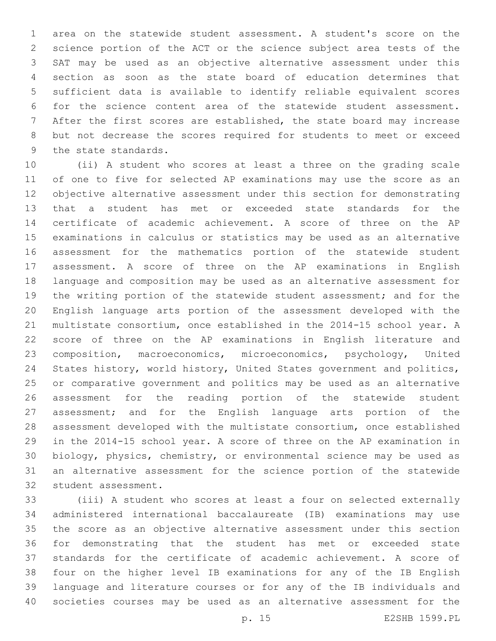area on the statewide student assessment. A student's score on the science portion of the ACT or the science subject area tests of the SAT may be used as an objective alternative assessment under this section as soon as the state board of education determines that sufficient data is available to identify reliable equivalent scores for the science content area of the statewide student assessment. After the first scores are established, the state board may increase but not decrease the scores required for students to meet or exceed 9 the state standards.

 (ii) A student who scores at least a three on the grading scale of one to five for selected AP examinations may use the score as an objective alternative assessment under this section for demonstrating that a student has met or exceeded state standards for the certificate of academic achievement. A score of three on the AP examinations in calculus or statistics may be used as an alternative assessment for the mathematics portion of the statewide student assessment. A score of three on the AP examinations in English language and composition may be used as an alternative assessment for the writing portion of the statewide student assessment; and for the English language arts portion of the assessment developed with the multistate consortium, once established in the 2014-15 school year. A score of three on the AP examinations in English literature and composition, macroeconomics, microeconomics, psychology, United States history, world history, United States government and politics, or comparative government and politics may be used as an alternative assessment for the reading portion of the statewide student assessment; and for the English language arts portion of the assessment developed with the multistate consortium, once established in the 2014-15 school year. A score of three on the AP examination in biology, physics, chemistry, or environmental science may be used as an alternative assessment for the science portion of the statewide 32 student assessment.

 (iii) A student who scores at least a four on selected externally administered international baccalaureate (IB) examinations may use the score as an objective alternative assessment under this section for demonstrating that the student has met or exceeded state standards for the certificate of academic achievement. A score of four on the higher level IB examinations for any of the IB English language and literature courses or for any of the IB individuals and societies courses may be used as an alternative assessment for the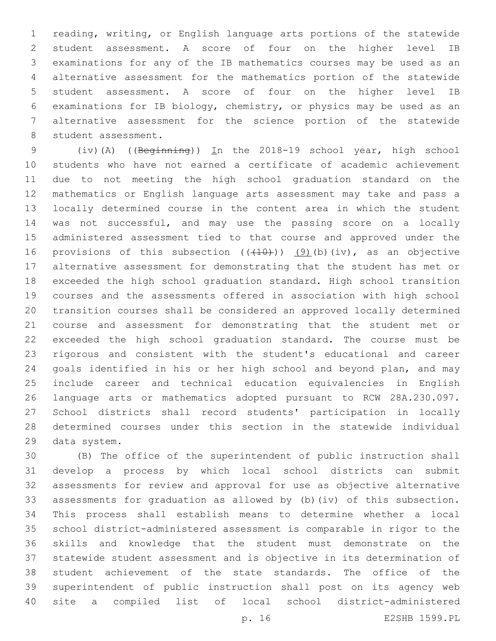reading, writing, or English language arts portions of the statewide student assessment. A score of four on the higher level IB examinations for any of the IB mathematics courses may be used as an alternative assessment for the mathematics portion of the statewide student assessment. A score of four on the higher level IB examinations for IB biology, chemistry, or physics may be used as an alternative assessment for the science portion of the statewide 8 student assessment.

 (iv)(A) ((Beginning)) In the 2018-19 school year, high school students who have not earned a certificate of academic achievement due to not meeting the high school graduation standard on the mathematics or English language arts assessment may take and pass a locally determined course in the content area in which the student was not successful, and may use the passing score on a locally administered assessment tied to that course and approved under the 16 provisions of this subsection  $((+10))$  (9)(b)(iv), as an objective alternative assessment for demonstrating that the student has met or exceeded the high school graduation standard. High school transition courses and the assessments offered in association with high school transition courses shall be considered an approved locally determined course and assessment for demonstrating that the student met or exceeded the high school graduation standard. The course must be rigorous and consistent with the student's educational and career goals identified in his or her high school and beyond plan, and may include career and technical education equivalencies in English language arts or mathematics adopted pursuant to RCW 28A.230.097. School districts shall record students' participation in locally determined courses under this section in the statewide individual 29 data system.

 (B) The office of the superintendent of public instruction shall develop a process by which local school districts can submit assessments for review and approval for use as objective alternative assessments for graduation as allowed by (b)(iv) of this subsection. This process shall establish means to determine whether a local school district-administered assessment is comparable in rigor to the skills and knowledge that the student must demonstrate on the statewide student assessment and is objective in its determination of student achievement of the state standards. The office of the superintendent of public instruction shall post on its agency web site a compiled list of local school district-administered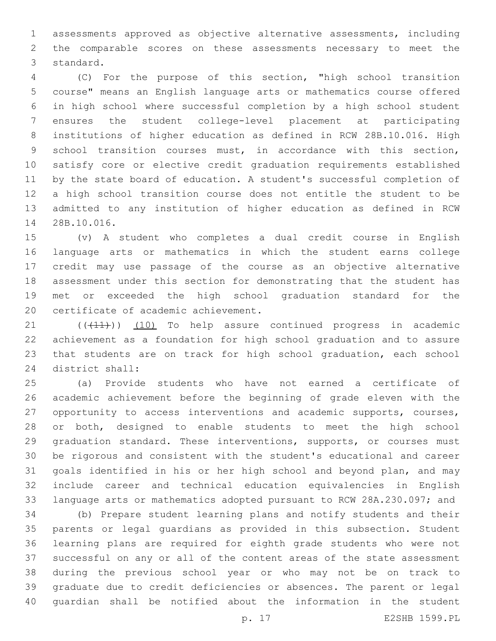assessments approved as objective alternative assessments, including the comparable scores on these assessments necessary to meet the 3 standard.

 (C) For the purpose of this section, "high school transition course" means an English language arts or mathematics course offered in high school where successful completion by a high school student ensures the student college-level placement at participating institutions of higher education as defined in RCW 28B.10.016. High school transition courses must, in accordance with this section, satisfy core or elective credit graduation requirements established by the state board of education. A student's successful completion of a high school transition course does not entitle the student to be admitted to any institution of higher education as defined in RCW 14 28B.10.016.

 (v) A student who completes a dual credit course in English language arts or mathematics in which the student earns college credit may use passage of the course as an objective alternative assessment under this section for demonstrating that the student has met or exceeded the high school graduation standard for the 20 certificate of academic achievement.

21 (((41))) (10) To help assure continued progress in academic achievement as a foundation for high school graduation and to assure that students are on track for high school graduation, each school 24 district shall:

 (a) Provide students who have not earned a certificate of academic achievement before the beginning of grade eleven with the opportunity to access interventions and academic supports, courses, or both, designed to enable students to meet the high school graduation standard. These interventions, supports, or courses must be rigorous and consistent with the student's educational and career goals identified in his or her high school and beyond plan, and may include career and technical education equivalencies in English language arts or mathematics adopted pursuant to RCW 28A.230.097; and

 (b) Prepare student learning plans and notify students and their parents or legal guardians as provided in this subsection. Student learning plans are required for eighth grade students who were not successful on any or all of the content areas of the state assessment during the previous school year or who may not be on track to graduate due to credit deficiencies or absences. The parent or legal guardian shall be notified about the information in the student

p. 17 E2SHB 1599.PL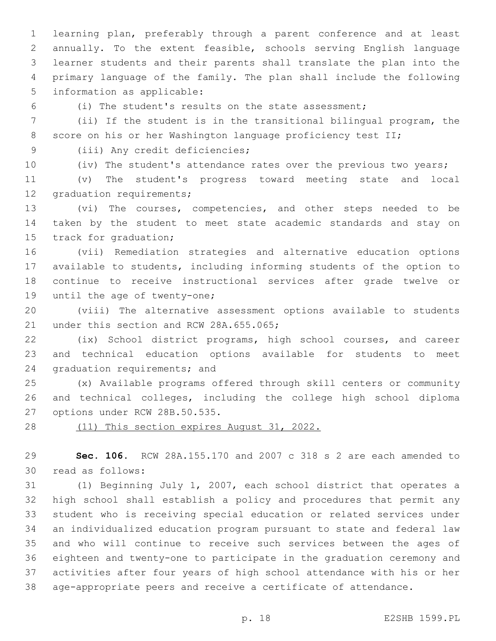learning plan, preferably through a parent conference and at least annually. To the extent feasible, schools serving English language learner students and their parents shall translate the plan into the primary language of the family. The plan shall include the following 5 information as applicable:

(i) The student's results on the state assessment;

 (ii) If the student is in the transitional bilingual program, the 8 score on his or her Washington language proficiency test II;

9 (iii) Any credit deficiencies;

(iv) The student's attendance rates over the previous two years;

 (v) The student's progress toward meeting state and local 12 graduation requirements;

 (vi) The courses, competencies, and other steps needed to be taken by the student to meet state academic standards and stay on 15 track for graduation;

 (vii) Remediation strategies and alternative education options available to students, including informing students of the option to continue to receive instructional services after grade twelve or 19 until the age of twenty-one;

 (viii) The alternative assessment options available to students 21 under this section and RCW 28A.655.065;

 (ix) School district programs, high school courses, and career and technical education options available for students to meet 24 graduation requirements; and

 (x) Available programs offered through skill centers or community and technical colleges, including the college high school diploma 27 options under RCW 28B.50.535.

(11) This section expires August 31, 2022.

 **Sec. 106.** RCW 28A.155.170 and 2007 c 318 s 2 are each amended to 30 read as follows:

 (1) Beginning July 1, 2007, each school district that operates a high school shall establish a policy and procedures that permit any student who is receiving special education or related services under an individualized education program pursuant to state and federal law and who will continue to receive such services between the ages of eighteen and twenty-one to participate in the graduation ceremony and activities after four years of high school attendance with his or her age-appropriate peers and receive a certificate of attendance.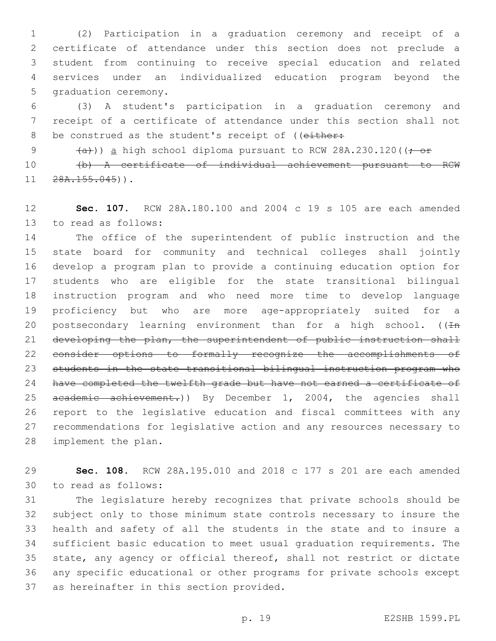(2) Participation in a graduation ceremony and receipt of a certificate of attendance under this section does not preclude a student from continuing to receive special education and related services under an individualized education program beyond the 5 graduation ceremony.

 (3) A student's participation in a graduation ceremony and receipt of a certificate of attendance under this section shall not 8 be construed as the student's receipt of ((either:

9  $(a+)$ ) a high school diploma pursuant to RCW 28A.230.120( $(-\text{or}$ 

 (b) A certificate of individual achievement pursuant to RCW  $11 \quad 28A.155.045)$ ).

 **Sec. 107.** RCW 28A.180.100 and 2004 c 19 s 105 are each amended 13 to read as follows:

 The office of the superintendent of public instruction and the state board for community and technical colleges shall jointly develop a program plan to provide a continuing education option for students who are eligible for the state transitional bilingual instruction program and who need more time to develop language proficiency but who are more age-appropriately suited for a 20 postsecondary learning environment than for a high school. ( $(Hn)$  developing the plan, the superintendent of public instruction shall consider options to formally recognize the accomplishments of students in the state transitional bilingual instruction program who have completed the twelfth grade but have not earned a certificate of 25 academic achievement.)) By December 1, 2004, the agencies shall report to the legislative education and fiscal committees with any recommendations for legislative action and any resources necessary to 28 implement the plan.

 **Sec. 108.** RCW 28A.195.010 and 2018 c 177 s 201 are each amended to read as follows:30

 The legislature hereby recognizes that private schools should be subject only to those minimum state controls necessary to insure the health and safety of all the students in the state and to insure a sufficient basic education to meet usual graduation requirements. The state, any agency or official thereof, shall not restrict or dictate any specific educational or other programs for private schools except 37 as hereinafter in this section provided.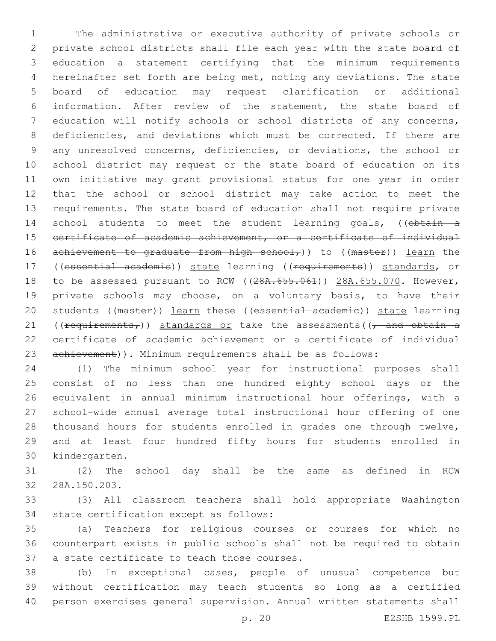The administrative or executive authority of private schools or private school districts shall file each year with the state board of education a statement certifying that the minimum requirements hereinafter set forth are being met, noting any deviations. The state board of education may request clarification or additional information. After review of the statement, the state board of education will notify schools or school districts of any concerns, deficiencies, and deviations which must be corrected. If there are any unresolved concerns, deficiencies, or deviations, the school or school district may request or the state board of education on its own initiative may grant provisional status for one year in order that the school or school district may take action to meet the requirements. The state board of education shall not require private 14 school students to meet the student learning goals, ((obtain a certificate of academic achievement, or a certificate of individual 16 achievement to graduate from high school,) to ((master)) learn the 17 ((essential academie)) state learning ((requirements)) standards, or 18 to be assessed pursuant to RCW ( $(28A.655.061)$ ) 28A.655.070. However, private schools may choose, on a voluntary basis, to have their students ((master)) learn these ((essential academic)) state learning 21 ((requirements,)) standards or take the assessments( $\sqrt{a}$  and obtain a certificate of academic achievement or a certificate of individual achievement)). Minimum requirements shall be as follows:

 (1) The minimum school year for instructional purposes shall consist of no less than one hundred eighty school days or the equivalent in annual minimum instructional hour offerings, with a school-wide annual average total instructional hour offering of one thousand hours for students enrolled in grades one through twelve, and at least four hundred fifty hours for students enrolled in 30 kindergarten.

 (2) The school day shall be the same as defined in RCW 32 28A.150.203.

 (3) All classroom teachers shall hold appropriate Washington 34 state certification except as follows:

 (a) Teachers for religious courses or courses for which no counterpart exists in public schools shall not be required to obtain 37 a state certificate to teach those courses.

 (b) In exceptional cases, people of unusual competence but without certification may teach students so long as a certified person exercises general supervision. Annual written statements shall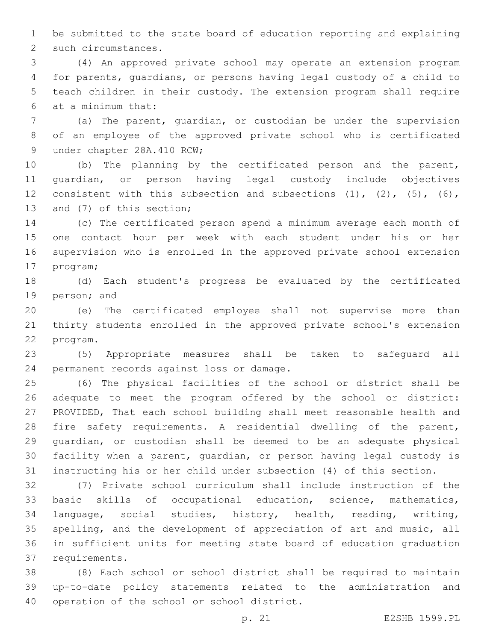be submitted to the state board of education reporting and explaining 2 such circumstances.

 (4) An approved private school may operate an extension program for parents, guardians, or persons having legal custody of a child to teach children in their custody. The extension program shall require at a minimum that:6

 (a) The parent, guardian, or custodian be under the supervision of an employee of the approved private school who is certificated 9 under chapter 28A.410 RCW;

 (b) The planning by the certificated person and the parent, guardian, or person having legal custody include objectives 12 consistent with this subsection and subsections (1), (2), (5), (6), 13 and (7) of this section;

 (c) The certificated person spend a minimum average each month of one contact hour per week with each student under his or her supervision who is enrolled in the approved private school extension 17 program;

 (d) Each student's progress be evaluated by the certificated 19 person; and

 (e) The certificated employee shall not supervise more than thirty students enrolled in the approved private school's extension 22 program.

 (5) Appropriate measures shall be taken to safeguard all 24 permanent records against loss or damage.

 (6) The physical facilities of the school or district shall be adequate to meet the program offered by the school or district: PROVIDED, That each school building shall meet reasonable health and fire safety requirements. A residential dwelling of the parent, guardian, or custodian shall be deemed to be an adequate physical facility when a parent, guardian, or person having legal custody is instructing his or her child under subsection (4) of this section.

 (7) Private school curriculum shall include instruction of the basic skills of occupational education, science, mathematics, language, social studies, history, health, reading, writing, spelling, and the development of appreciation of art and music, all in sufficient units for meeting state board of education graduation 37 requirements.

 (8) Each school or school district shall be required to maintain up-to-date policy statements related to the administration and 40 operation of the school or school district.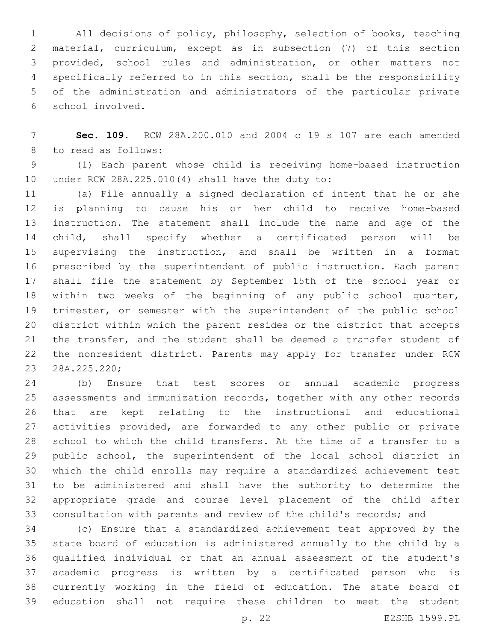All decisions of policy, philosophy, selection of books, teaching material, curriculum, except as in subsection (7) of this section provided, school rules and administration, or other matters not specifically referred to in this section, shall be the responsibility of the administration and administrators of the particular private school involved.6

 **Sec. 109.** RCW 28A.200.010 and 2004 c 19 s 107 are each amended 8 to read as follows:

 (1) Each parent whose child is receiving home-based instruction 10 under RCW  $28A.225.010(4)$  shall have the duty to:

 (a) File annually a signed declaration of intent that he or she is planning to cause his or her child to receive home-based instruction. The statement shall include the name and age of the child, shall specify whether a certificated person will be supervising the instruction, and shall be written in a format prescribed by the superintendent of public instruction. Each parent shall file the statement by September 15th of the school year or within two weeks of the beginning of any public school quarter, trimester, or semester with the superintendent of the public school district within which the parent resides or the district that accepts the transfer, and the student shall be deemed a transfer student of the nonresident district. Parents may apply for transfer under RCW 23 28A.225.220;

 (b) Ensure that test scores or annual academic progress assessments and immunization records, together with any other records that are kept relating to the instructional and educational 27 activities provided, are forwarded to any other public or private school to which the child transfers. At the time of a transfer to a public school, the superintendent of the local school district in which the child enrolls may require a standardized achievement test to be administered and shall have the authority to determine the appropriate grade and course level placement of the child after consultation with parents and review of the child's records; and

 (c) Ensure that a standardized achievement test approved by the state board of education is administered annually to the child by a qualified individual or that an annual assessment of the student's academic progress is written by a certificated person who is currently working in the field of education. The state board of education shall not require these children to meet the student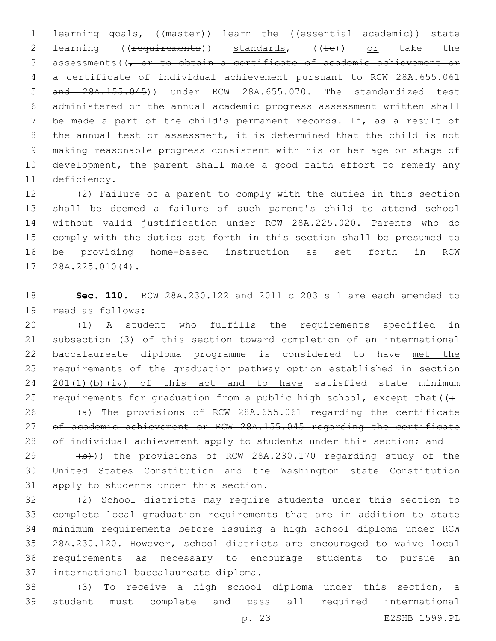1 learning goals, ((master)) learn the ((essential academie)) state 2 learning ((<del>requirements</del>)) standards, ((to)) or take the 3 assessments ( $\sqrt{7}$  or to obtain a certificate of academic achievement or a certificate of individual achievement pursuant to RCW 28A.655.061 and 28A.155.045)) under RCW 28A.655.070. The standardized test administered or the annual academic progress assessment written shall be made a part of the child's permanent records. If, as a result of the annual test or assessment, it is determined that the child is not making reasonable progress consistent with his or her age or stage of development, the parent shall make a good faith effort to remedy any 11 deficiency.

 (2) Failure of a parent to comply with the duties in this section shall be deemed a failure of such parent's child to attend school without valid justification under RCW 28A.225.020. Parents who do comply with the duties set forth in this section shall be presumed to be providing home-based instruction as set forth in RCW 17 28A.225.010(4).

 **Sec. 110.** RCW 28A.230.122 and 2011 c 203 s 1 are each amended to 19 read as follows:

 (1) A student who fulfills the requirements specified in subsection (3) of this section toward completion of an international baccalaureate diploma programme is considered to have met the requirements of the graduation pathway option established in section 24 201(1)(b)(iv) of this act and to have satisfied state minimum 25 requirements for graduation from a public high school, except that  $($ : (a) The provisions of RCW 28A.655.061 regarding the certificate

27 of academic achievement or RCW 28A.155.045 regarding the certificate 28 of individual achievement apply to students under this section; and

29  $(b)$ )) the provisions of RCW 28A.230.170 regarding study of the United States Constitution and the Washington state Constitution 31 apply to students under this section.

 (2) School districts may require students under this section to complete local graduation requirements that are in addition to state minimum requirements before issuing a high school diploma under RCW 28A.230.120. However, school districts are encouraged to waive local requirements as necessary to encourage students to pursue an 37 international baccalaureate diploma.

 (3) To receive a high school diploma under this section, a student must complete and pass all required international

p. 23 E2SHB 1599.PL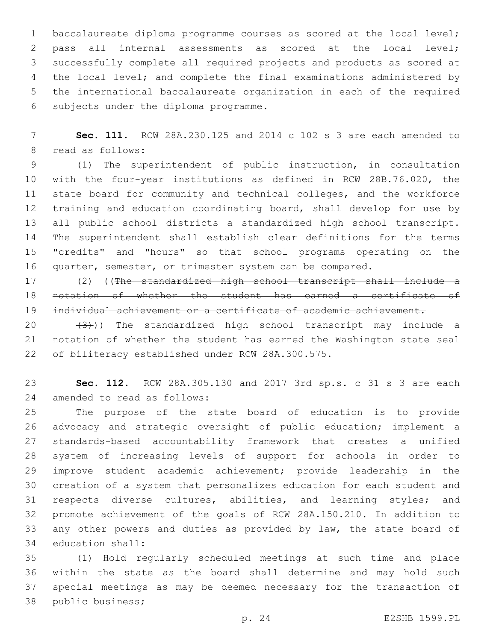baccalaureate diploma programme courses as scored at the local level; pass all internal assessments as scored at the local level; successfully complete all required projects and products as scored at the local level; and complete the final examinations administered by the international baccalaureate organization in each of the required 6 subjects under the diploma programme.

 **Sec. 111.** RCW 28A.230.125 and 2014 c 102 s 3 are each amended to 8 read as follows:

 (1) The superintendent of public instruction, in consultation with the four-year institutions as defined in RCW 28B.76.020, the state board for community and technical colleges, and the workforce training and education coordinating board, shall develop for use by all public school districts a standardized high school transcript. The superintendent shall establish clear definitions for the terms "credits" and "hours" so that school programs operating on the quarter, semester, or trimester system can be compared.

17 (2) ((The standardized high school transcript shall include a notation of whether the student has earned a certificate of individual achievement or a certificate of academic achievement.

 $(3)$ )) The standardized high school transcript may include a notation of whether the student has earned the Washington state seal 22 of biliteracy established under RCW 28A.300.575.

 **Sec. 112.** RCW 28A.305.130 and 2017 3rd sp.s. c 31 s 3 are each 24 amended to read as follows:

 The purpose of the state board of education is to provide advocacy and strategic oversight of public education; implement a standards-based accountability framework that creates a unified system of increasing levels of support for schools in order to improve student academic achievement; provide leadership in the creation of a system that personalizes education for each student and respects diverse cultures, abilities, and learning styles; and promote achievement of the goals of RCW 28A.150.210. In addition to 33 any other powers and duties as provided by law, the state board of 34 education shall:

 (1) Hold regularly scheduled meetings at such time and place within the state as the board shall determine and may hold such special meetings as may be deemed necessary for the transaction of 38 public business;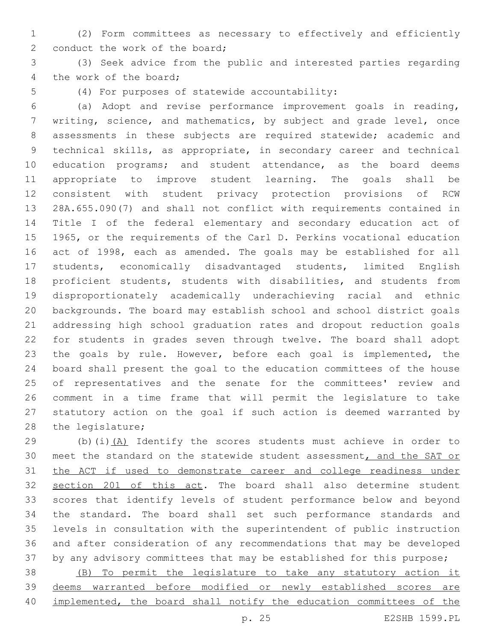- (2) Form committees as necessary to effectively and efficiently 2 conduct the work of the board;
- (3) Seek advice from the public and interested parties regarding 4 the work of the board;
- 

5 (4) For purposes of statewide accountability:

 (a) Adopt and revise performance improvement goals in reading, writing, science, and mathematics, by subject and grade level, once assessments in these subjects are required statewide; academic and technical skills, as appropriate, in secondary career and technical education programs; and student attendance, as the board deems appropriate to improve student learning. The goals shall be consistent with student privacy protection provisions of RCW 28A.655.090(7) and shall not conflict with requirements contained in Title I of the federal elementary and secondary education act of 1965, or the requirements of the Carl D. Perkins vocational education act of 1998, each as amended. The goals may be established for all students, economically disadvantaged students, limited English proficient students, students with disabilities, and students from disproportionately academically underachieving racial and ethnic backgrounds. The board may establish school and school district goals addressing high school graduation rates and dropout reduction goals for students in grades seven through twelve. The board shall adopt 23 the goals by rule. However, before each goal is implemented, the board shall present the goal to the education committees of the house of representatives and the senate for the committees' review and comment in a time frame that will permit the legislature to take statutory action on the goal if such action is deemed warranted by 28 the legislature;

 (b)(i)(A) Identify the scores students must achieve in order to meet the standard on the statewide student assessment, and the SAT or the ACT if used to demonstrate career and college readiness under section 201 of this act. The board shall also determine student scores that identify levels of student performance below and beyond the standard. The board shall set such performance standards and levels in consultation with the superintendent of public instruction and after consideration of any recommendations that may be developed by any advisory committees that may be established for this purpose;

 (B) To permit the legislature to take any statutory action it deems warranted before modified or newly established scores are implemented, the board shall notify the education committees of the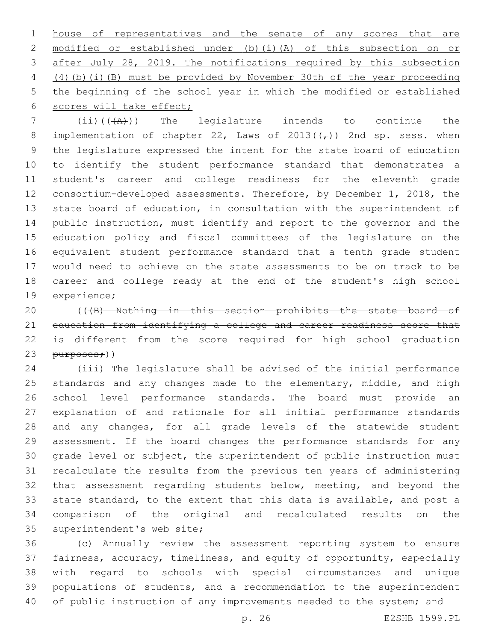house of representatives and the senate of any scores that are modified or established under (b)(i)(A) of this subsection on or after July 28, 2019. The notifications required by this subsection (4)(b)(i)(B) must be provided by November 30th of the year proceeding the beginning of the school year in which the modified or established 6 scores will take effect;

 (ii)(((A))) The legislature intends to continue the 8 implementation of chapter 22, Laws of 2013( $(\tau)$ ) 2nd sp. sess. when the legislature expressed the intent for the state board of education to identify the student performance standard that demonstrates a student's career and college readiness for the eleventh grade consortium-developed assessments. Therefore, by December 1, 2018, the state board of education, in consultation with the superintendent of public instruction, must identify and report to the governor and the education policy and fiscal committees of the legislature on the equivalent student performance standard that a tenth grade student would need to achieve on the state assessments to be on track to be career and college ready at the end of the student's high school 19 experience;

20 (((B) Nothing in this section prohibits the state board of education from identifying a college and career readiness score that 22 is different from the score required for high school graduation purposes;))

 (iii) The legislature shall be advised of the initial performance 25 standards and any changes made to the elementary, middle, and high school level performance standards. The board must provide an explanation of and rationale for all initial performance standards and any changes, for all grade levels of the statewide student assessment. If the board changes the performance standards for any grade level or subject, the superintendent of public instruction must recalculate the results from the previous ten years of administering that assessment regarding students below, meeting, and beyond the state standard, to the extent that this data is available, and post a comparison of the original and recalculated results on the 35 superintendent's web site;

 (c) Annually review the assessment reporting system to ensure fairness, accuracy, timeliness, and equity of opportunity, especially with regard to schools with special circumstances and unique populations of students, and a recommendation to the superintendent 40 of public instruction of any improvements needed to the system; and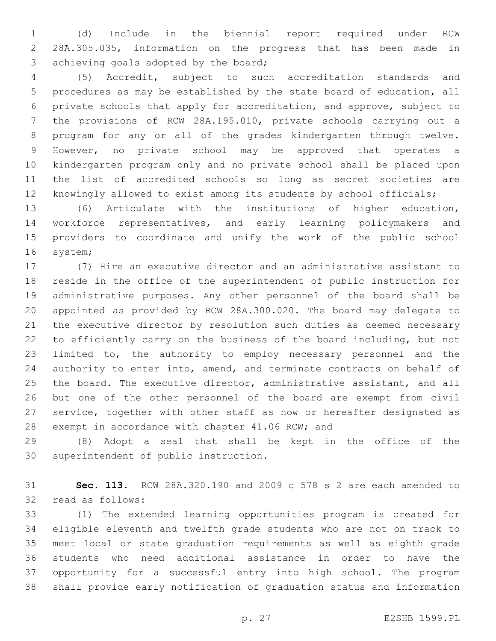(d) Include in the biennial report required under RCW 28A.305.035, information on the progress that has been made in 3 achieving goals adopted by the board;

 (5) Accredit, subject to such accreditation standards and procedures as may be established by the state board of education, all private schools that apply for accreditation, and approve, subject to the provisions of RCW 28A.195.010, private schools carrying out a program for any or all of the grades kindergarten through twelve. However, no private school may be approved that operates a kindergarten program only and no private school shall be placed upon the list of accredited schools so long as secret societies are knowingly allowed to exist among its students by school officials;

 (6) Articulate with the institutions of higher education, workforce representatives, and early learning policymakers and providers to coordinate and unify the work of the public school 16 system;

 (7) Hire an executive director and an administrative assistant to reside in the office of the superintendent of public instruction for administrative purposes. Any other personnel of the board shall be appointed as provided by RCW 28A.300.020. The board may delegate to the executive director by resolution such duties as deemed necessary to efficiently carry on the business of the board including, but not limited to, the authority to employ necessary personnel and the 24 authority to enter into, amend, and terminate contracts on behalf of the board. The executive director, administrative assistant, and all but one of the other personnel of the board are exempt from civil service, together with other staff as now or hereafter designated as 28 exempt in accordance with chapter 41.06 RCW; and

 (8) Adopt a seal that shall be kept in the office of the 30 superintendent of public instruction.

 **Sec. 113.** RCW 28A.320.190 and 2009 c 578 s 2 are each amended to 32 read as follows:

 (1) The extended learning opportunities program is created for eligible eleventh and twelfth grade students who are not on track to meet local or state graduation requirements as well as eighth grade students who need additional assistance in order to have the opportunity for a successful entry into high school. The program shall provide early notification of graduation status and information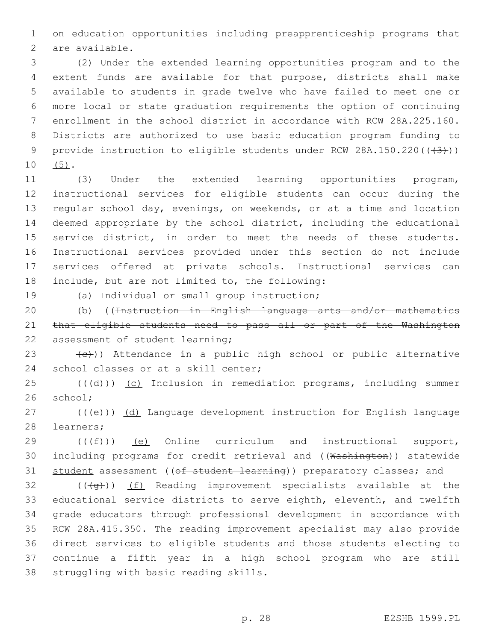1 on education opportunities including preapprenticeship programs that 2 are available.

 (2) Under the extended learning opportunities program and to the extent funds are available for that purpose, districts shall make available to students in grade twelve who have failed to meet one or more local or state graduation requirements the option of continuing enrollment in the school district in accordance with RCW 28A.225.160. Districts are authorized to use basic education program funding to 9 provide instruction to eligible students under RCW 28A.150.220((+3)))  $10 (5)$ .

 (3) Under the extended learning opportunities program, instructional services for eligible students can occur during the regular school day, evenings, on weekends, or at a time and location deemed appropriate by the school district, including the educational service district, in order to meet the needs of these students. Instructional services provided under this section do not include services offered at private schools. Instructional services can 18 include, but are not limited to, the following:

19 (a) Individual or small group instruction;

20 (b) ((Instruction in English language arts and/or mathematics 21 that eligible students need to pass all or part of the Washington 22 assessment of student learning;

23  $(e)$ )) Attendance in a public high school or public alternative 24 school classes or at a skill center;

 $25$  (( $\left(\frac{1}{d} \right)$ ) (c) Inclusion in remediation programs, including summer 26 school;

 $27$  (( $\left(\frac{1}{2}\right)$ ) (d) Language development instruction for English language 28 learners;

29  $((\text{#}))$  (e) Online curriculum and instructional support, 30 including programs for credit retrieval and ((Washington)) statewide 31 student assessment ((of student learning)) preparatory classes; and

 (( $\left(\frac{4}{9}\right)$ ) (f) Reading improvement specialists available at the educational service districts to serve eighth, eleventh, and twelfth grade educators through professional development in accordance with RCW 28A.415.350. The reading improvement specialist may also provide direct services to eligible students and those students electing to continue a fifth year in a high school program who are still 38 struggling with basic reading skills.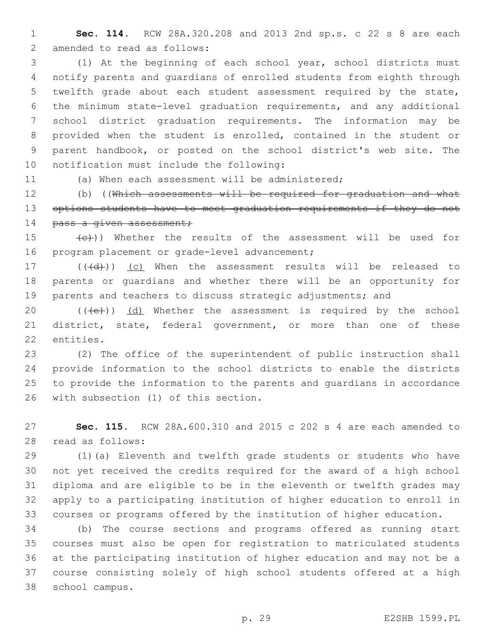**Sec. 114.** RCW 28A.320.208 and 2013 2nd sp.s. c 22 s 8 are each 2 amended to read as follows:

 (1) At the beginning of each school year, school districts must notify parents and guardians of enrolled students from eighth through twelfth grade about each student assessment required by the state, the minimum state-level graduation requirements, and any additional school district graduation requirements. The information may be provided when the student is enrolled, contained in the student or parent handbook, or posted on the school district's web site. The 10 notification must include the following:

(a) When each assessment will be administered;

 (b) ((Which assessments will be required for graduation and what 13 options students have to meet graduation requirements if they do not 14 pass a given assessment;

15 (e)) Whether the results of the assessment will be used for 16 program placement or grade-level advancement;

17 (((d)) (c) When the assessment results will be released to parents or guardians and whether there will be an opportunity for 19 parents and teachers to discuss strategic adjustments; and

20  $((\text{+e})^2)$   $(d)$  Whether the assessment is required by the school district, state, federal government, or more than one of these 22 entities.

 (2) The office of the superintendent of public instruction shall provide information to the school districts to enable the districts to provide the information to the parents and guardians in accordance 26 with subsection (1) of this section.

 **Sec. 115.** RCW 28A.600.310 and 2015 c 202 s 4 are each amended to read as follows:28

 (1)(a) Eleventh and twelfth grade students or students who have not yet received the credits required for the award of a high school diploma and are eligible to be in the eleventh or twelfth grades may apply to a participating institution of higher education to enroll in courses or programs offered by the institution of higher education.

 (b) The course sections and programs offered as running start courses must also be open for registration to matriculated students at the participating institution of higher education and may not be a course consisting solely of high school students offered at a high 38 school campus.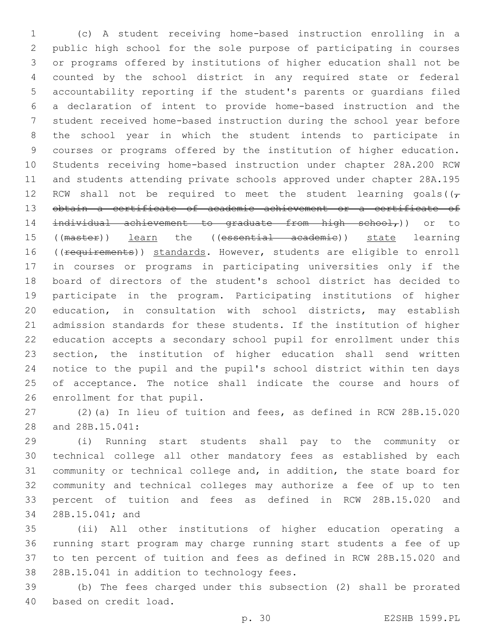(c) A student receiving home-based instruction enrolling in a public high school for the sole purpose of participating in courses or programs offered by institutions of higher education shall not be counted by the school district in any required state or federal accountability reporting if the student's parents or guardians filed a declaration of intent to provide home-based instruction and the student received home-based instruction during the school year before the school year in which the student intends to participate in courses or programs offered by the institution of higher education. Students receiving home-based instruction under chapter 28A.200 RCW and students attending private schools approved under chapter 28A.195 12 RCW shall not be required to meet the student learning goals( $(\tau)$  obtain a certificate of academic achievement or a certificate of 14 individual achievement to graduate from high school,)) or to 15 ((master)) learn the ((essential academie)) state learning 16 ((requirements)) standards. However, students are eligible to enroll in courses or programs in participating universities only if the board of directors of the student's school district has decided to participate in the program. Participating institutions of higher education, in consultation with school districts, may establish admission standards for these students. If the institution of higher education accepts a secondary school pupil for enrollment under this section, the institution of higher education shall send written notice to the pupil and the pupil's school district within ten days of acceptance. The notice shall indicate the course and hours of 26 enrollment for that pupil.

 (2)(a) In lieu of tuition and fees, as defined in RCW 28B.15.020 28 and 28B.15.041:

 (i) Running start students shall pay to the community or technical college all other mandatory fees as established by each community or technical college and, in addition, the state board for community and technical colleges may authorize a fee of up to ten percent of tuition and fees as defined in RCW 28B.15.020 and 34 28B.15.041; and

 (ii) All other institutions of higher education operating a running start program may charge running start students a fee of up to ten percent of tuition and fees as defined in RCW 28B.15.020 and 38 28B.15.041 in addition to technology fees.

 (b) The fees charged under this subsection (2) shall be prorated 40 based on credit load.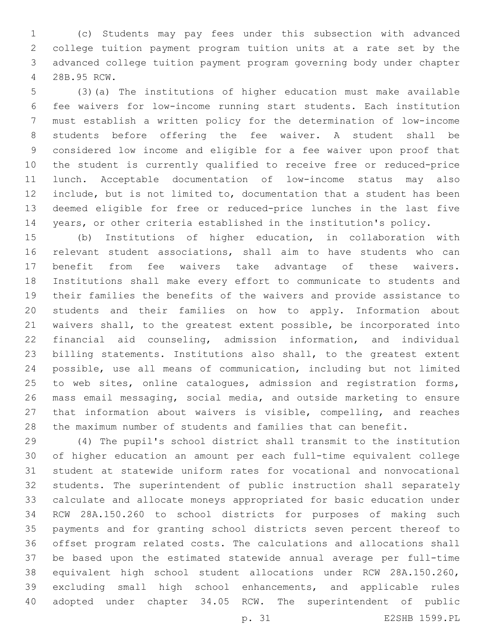(c) Students may pay fees under this subsection with advanced college tuition payment program tuition units at a rate set by the advanced college tuition payment program governing body under chapter 28B.95 RCW.4

 (3)(a) The institutions of higher education must make available fee waivers for low-income running start students. Each institution must establish a written policy for the determination of low-income students before offering the fee waiver. A student shall be considered low income and eligible for a fee waiver upon proof that the student is currently qualified to receive free or reduced-price lunch. Acceptable documentation of low-income status may also include, but is not limited to, documentation that a student has been deemed eligible for free or reduced-price lunches in the last five years, or other criteria established in the institution's policy.

 (b) Institutions of higher education, in collaboration with relevant student associations, shall aim to have students who can benefit from fee waivers take advantage of these waivers. Institutions shall make every effort to communicate to students and their families the benefits of the waivers and provide assistance to students and their families on how to apply. Information about waivers shall, to the greatest extent possible, be incorporated into financial aid counseling, admission information, and individual billing statements. Institutions also shall, to the greatest extent possible, use all means of communication, including but not limited to web sites, online catalogues, admission and registration forms, mass email messaging, social media, and outside marketing to ensure that information about waivers is visible, compelling, and reaches the maximum number of students and families that can benefit.

 (4) The pupil's school district shall transmit to the institution of higher education an amount per each full-time equivalent college student at statewide uniform rates for vocational and nonvocational students. The superintendent of public instruction shall separately calculate and allocate moneys appropriated for basic education under RCW 28A.150.260 to school districts for purposes of making such payments and for granting school districts seven percent thereof to offset program related costs. The calculations and allocations shall be based upon the estimated statewide annual average per full-time equivalent high school student allocations under RCW 28A.150.260, excluding small high school enhancements, and applicable rules adopted under chapter 34.05 RCW. The superintendent of public

p. 31 E2SHB 1599.PL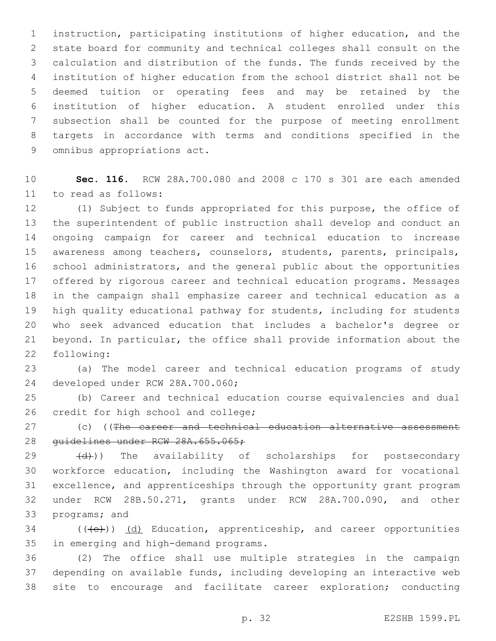instruction, participating institutions of higher education, and the state board for community and technical colleges shall consult on the calculation and distribution of the funds. The funds received by the institution of higher education from the school district shall not be deemed tuition or operating fees and may be retained by the institution of higher education. A student enrolled under this subsection shall be counted for the purpose of meeting enrollment targets in accordance with terms and conditions specified in the 9 omnibus appropriations act.

 **Sec. 116.** RCW 28A.700.080 and 2008 c 170 s 301 are each amended 11 to read as follows:

 (1) Subject to funds appropriated for this purpose, the office of the superintendent of public instruction shall develop and conduct an ongoing campaign for career and technical education to increase awareness among teachers, counselors, students, parents, principals, school administrators, and the general public about the opportunities offered by rigorous career and technical education programs. Messages in the campaign shall emphasize career and technical education as a high quality educational pathway for students, including for students who seek advanced education that includes a bachelor's degree or beyond. In particular, the office shall provide information about the 22 following:

 (a) The model career and technical education programs of study 24 developed under RCW 28A.700.060;

 (b) Career and technical education course equivalencies and dual 26 credit for high school and college;

27 (c) ((The career and technical education alternative assessment 28 guidelines under RCW 28A.655.065;

29 (d)) The availability of scholarships for postsecondary workforce education, including the Washington award for vocational excellence, and apprenticeships through the opportunity grant program under RCW 28B.50.271, grants under RCW 28A.700.090, and other 33 programs; and

 (( $\left(\frac{1}{12}\right)$ ) (d) Education, apprenticeship, and career opportunities 35 in emerging and high-demand programs.

 (2) The office shall use multiple strategies in the campaign depending on available funds, including developing an interactive web site to encourage and facilitate career exploration; conducting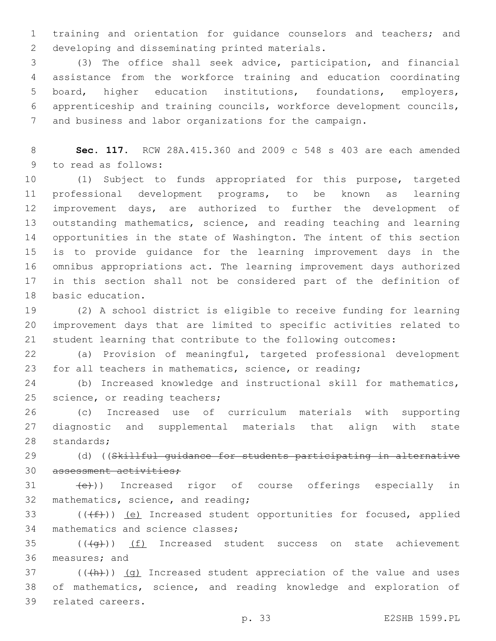training and orientation for guidance counselors and teachers; and 2 developing and disseminating printed materials.

 (3) The office shall seek advice, participation, and financial assistance from the workforce training and education coordinating board, higher education institutions, foundations, employers, apprenticeship and training councils, workforce development councils, and business and labor organizations for the campaign.

 **Sec. 117.** RCW 28A.415.360 and 2009 c 548 s 403 are each amended 9 to read as follows:

 (1) Subject to funds appropriated for this purpose, targeted professional development programs, to be known as learning improvement days, are authorized to further the development of outstanding mathematics, science, and reading teaching and learning opportunities in the state of Washington. The intent of this section is to provide guidance for the learning improvement days in the omnibus appropriations act. The learning improvement days authorized in this section shall not be considered part of the definition of 18 basic education.

 (2) A school district is eligible to receive funding for learning improvement days that are limited to specific activities related to student learning that contribute to the following outcomes:

 (a) Provision of meaningful, targeted professional development for all teachers in mathematics, science, or reading;

 (b) Increased knowledge and instructional skill for mathematics, 25 science, or reading teachers;

 (c) Increased use of curriculum materials with supporting diagnostic and supplemental materials that align with state 28 standards;

29 (d) ((Skillful quidance for students participating in alternative 30 assessment activities;

31 (e)) Increased rigor of course offerings especially in 32 mathematics, science, and reading;

33  $((\text{#}))$  (e) Increased student opportunities for focused, applied 34 mathematics and science classes;

 ( $(\overline{+q})$ ) <u>(f)</u> Increased student success on state achievement 36 measures; and

37 (((+h)) (g) Increased student appreciation of the value and uses of mathematics, science, and reading knowledge and exploration of 39 related careers.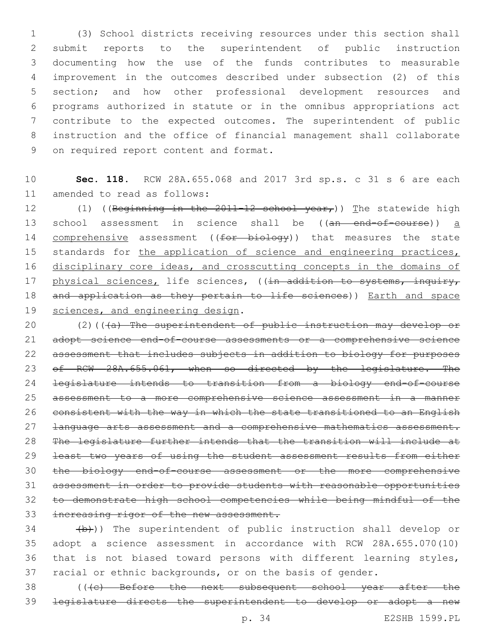(3) School districts receiving resources under this section shall submit reports to the superintendent of public instruction documenting how the use of the funds contributes to measurable improvement in the outcomes described under subsection (2) of this section; and how other professional development resources and programs authorized in statute or in the omnibus appropriations act contribute to the expected outcomes. The superintendent of public instruction and the office of financial management shall collaborate 9 on required report content and format.

10 **Sec. 118.** RCW 28A.655.068 and 2017 3rd sp.s. c 31 s 6 are each 11 amended to read as follows:

12 (1) ((Beginning in the 2011-12 school year,)) The statewide high 13 school assessment in science shall be ((an end-of-course)) a 14 comprehensive assessment ((for biology)) that measures the state 15 standards for the application of science and engineering practices, 16 disciplinary core ideas, and crosscutting concepts in the domains of 17 physical sciences, life sciences, ((in addition to systems, inquiry, 18 and application as they pertain to life sciences)) Earth and space 19 sciences, and engineering design.

20 (2)(((a) The superintendent of public instruction may develop or 21 adopt science end-of-course assessments or a comprehensive science assessment that includes subjects in addition to biology for purposes 23 of RCW 28A.655.061, when so directed by the legislature. The legislature intends to transition from a biology end-of-course assessment to a more comprehensive science assessment in a manner 26 consistent with the way in which the state transitioned to an English **Language arts assessment and a comprehensive mathematics assessment.**  The legislature further intends that the transition will include at least two years of using the student assessment results from either the biology end-of-course assessment or the more comprehensive assessment in order to provide students with reasonable opportunities to demonstrate high school competencies while being mindful of the 33 increasing rigor of the new assessment.

 $(34 - 4b)$ ) The superintendent of public instruction shall develop or adopt a science assessment in accordance with RCW 28A.655.070(10) that is not biased toward persons with different learning styles, racial or ethnic backgrounds, or on the basis of gender.

38 (((c) Before the next subsequent school year after the 39 legislature directs the superintendent to develop or adopt a new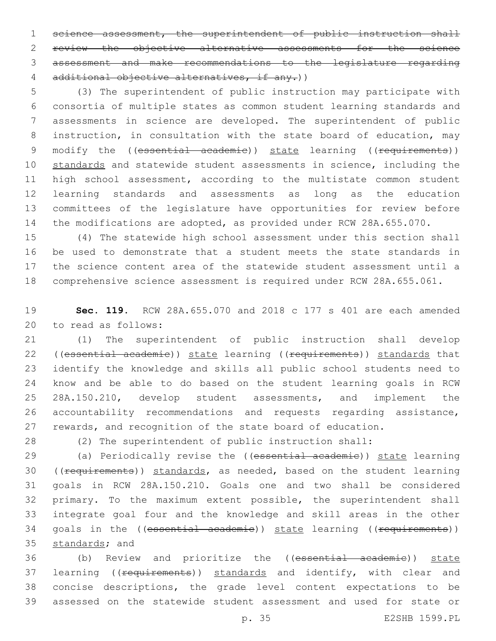1 science assessment, the superintendent of public instruction shall review the objective alternative assessments for the science assessment and make recommendations to the legislature regarding additional objective alternatives, if any.))

 (3) The superintendent of public instruction may participate with consortia of multiple states as common student learning standards and assessments in science are developed. The superintendent of public instruction, in consultation with the state board of education, may 9 modify the ((essential academie)) state learning ((requirements)) 10 standards and statewide student assessments in science, including the high school assessment, according to the multistate common student learning standards and assessments as long as the education committees of the legislature have opportunities for review before the modifications are adopted, as provided under RCW 28A.655.070.

 (4) The statewide high school assessment under this section shall 16 be used to demonstrate that a student meets the state standards in the science content area of the statewide student assessment until a comprehensive science assessment is required under RCW 28A.655.061.

 **Sec. 119.** RCW 28A.655.070 and 2018 c 177 s 401 are each amended 20 to read as follows:

 (1) The superintendent of public instruction shall develop 22 ((essential academie)) state learning ((requirements)) standards that identify the knowledge and skills all public school students need to know and be able to do based on the student learning goals in RCW 25 28A.150.210, develop student assessments, and implement the accountability recommendations and requests regarding assistance, rewards, and recognition of the state board of education.

(2) The superintendent of public instruction shall:

29 (a) Periodically revise the ((essential academie)) state learning 30 ((requirements)) standards, as needed, based on the student learning goals in RCW 28A.150.210. Goals one and two shall be considered primary. To the maximum extent possible, the superintendent shall integrate goal four and the knowledge and skill areas in the other 34 goals in the ((essential academie)) state learning ((requirements)) 35 standards; and

 (b) Review and prioritize the ((essential academic)) state 37 learning ((requirements)) standards and identify, with clear and concise descriptions, the grade level content expectations to be assessed on the statewide student assessment and used for state or

p. 35 E2SHB 1599.PL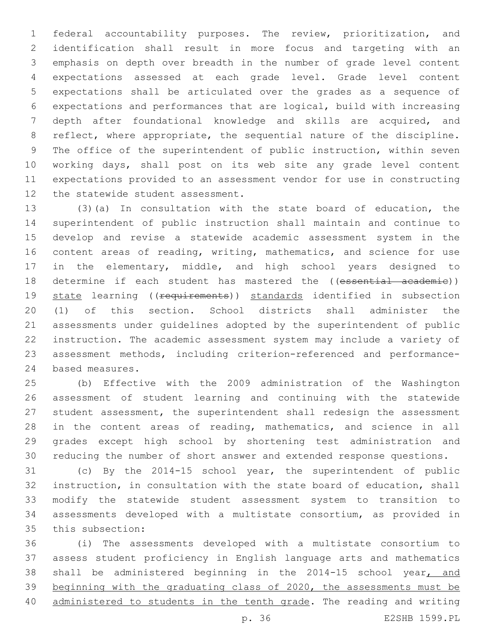federal accountability purposes. The review, prioritization, and identification shall result in more focus and targeting with an emphasis on depth over breadth in the number of grade level content expectations assessed at each grade level. Grade level content expectations shall be articulated over the grades as a sequence of expectations and performances that are logical, build with increasing depth after foundational knowledge and skills are acquired, and reflect, where appropriate, the sequential nature of the discipline. The office of the superintendent of public instruction, within seven working days, shall post on its web site any grade level content expectations provided to an assessment vendor for use in constructing 12 the statewide student assessment.

 (3)(a) In consultation with the state board of education, the superintendent of public instruction shall maintain and continue to develop and revise a statewide academic assessment system in the content areas of reading, writing, mathematics, and science for use in the elementary, middle, and high school years designed to 18 determine if each student has mastered the ((essential academie)) 19 state learning ((requirements)) standards identified in subsection (1) of this section. School districts shall administer the assessments under guidelines adopted by the superintendent of public instruction. The academic assessment system may include a variety of assessment methods, including criterion-referenced and performance-24 based measures.

 (b) Effective with the 2009 administration of the Washington assessment of student learning and continuing with the statewide student assessment, the superintendent shall redesign the assessment in the content areas of reading, mathematics, and science in all grades except high school by shortening test administration and reducing the number of short answer and extended response questions.

 (c) By the 2014-15 school year, the superintendent of public instruction, in consultation with the state board of education, shall modify the statewide student assessment system to transition to assessments developed with a multistate consortium, as provided in 35 this subsection:

 (i) The assessments developed with a multistate consortium to assess student proficiency in English language arts and mathematics shall be administered beginning in the 2014-15 school year, and beginning with the graduating class of 2020, the assessments must be 40 administered to students in the tenth grade. The reading and writing

p. 36 E2SHB 1599.PL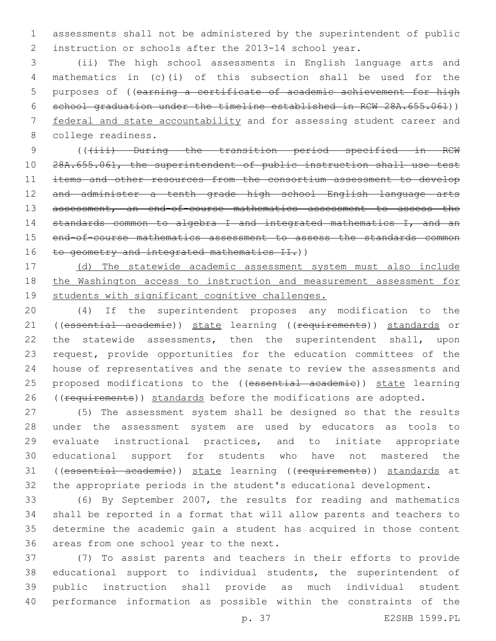assessments shall not be administered by the superintendent of public instruction or schools after the 2013-14 school year.

 (ii) The high school assessments in English language arts and mathematics in (c)(i) of this subsection shall be used for the purposes of ((earning a certificate of academic achievement for high school graduation under the timeline established in RCW 28A.655.061)) federal and state accountability and for assessing student career and 8 college readiness.

9 (( $(i$ iii) During the transition period specified in RCW 28A.655.061, the superintendent of public instruction shall use test items and other resources from the consortium assessment to develop and administer a tenth grade high school English language arts 13 assessment, an end-of-course mathematics assessment to assess the 14 standards common to algebra I and integrated mathematics I, and an end-of-course mathematics assessment to assess the standards common 16 to geometry and integrated mathematics II.))

 (d) The statewide academic assessment system must also include the Washington access to instruction and measurement assessment for 19 students with significant cognitive challenges.

 (4) If the superintendent proposes any modification to the 21 ((essential academie)) state learning ((requirements)) standards or 22 the statewide assessments, then the superintendent shall, upon request, provide opportunities for the education committees of the house of representatives and the senate to review the assessments and 25 proposed modifications to the ((essential academie)) state learning 26 ((requirements)) standards before the modifications are adopted.

 (5) The assessment system shall be designed so that the results under the assessment system are used by educators as tools to evaluate instructional practices, and to initiate appropriate educational support for students who have not mastered the 31 ((essential academie)) state learning ((requirements)) standards at the appropriate periods in the student's educational development.

 (6) By September 2007, the results for reading and mathematics shall be reported in a format that will allow parents and teachers to determine the academic gain a student has acquired in those content 36 areas from one school year to the next.

 (7) To assist parents and teachers in their efforts to provide educational support to individual students, the superintendent of public instruction shall provide as much individual student performance information as possible within the constraints of the

p. 37 E2SHB 1599.PL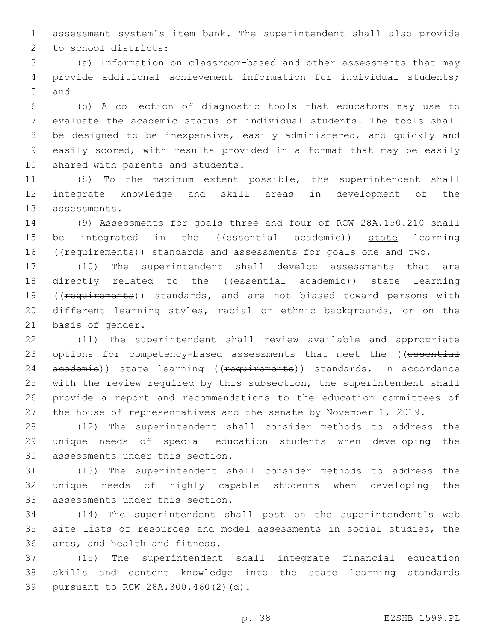1 assessment system's item bank. The superintendent shall also provide 2 to school districts:

3 (a) Information on classroom-based and other assessments that may 4 provide additional achievement information for individual students; 5 and

 (b) A collection of diagnostic tools that educators may use to evaluate the academic status of individual students. The tools shall be designed to be inexpensive, easily administered, and quickly and easily scored, with results provided in a format that may be easily 10 shared with parents and students.

11 (8) To the maximum extent possible, the superintendent shall 12 integrate knowledge and skill areas in development of the 13 assessments.

14 (9) Assessments for goals three and four of RCW 28A.150.210 shall 15 be integrated in the ((essential academie)) state learning 16 ((requirements)) standards and assessments for goals one and two.

17 (10) The superintendent shall develop assessments that are 18 directly related to the ((essential academie)) state learning 19 ((requirements)) standards, and are not biased toward persons with 20 different learning styles, racial or ethnic backgrounds, or on the 21 basis of gender.

 (11) The superintendent shall review available and appropriate 23 options for competency-based assessments that meet the ((essential 24 academie)) state learning ((requirements)) standards. In accordance with the review required by this subsection, the superintendent shall provide a report and recommendations to the education committees of the house of representatives and the senate by November 1, 2019.

28 (12) The superintendent shall consider methods to address the 29 unique needs of special education students when developing the 30 assessments under this section.

31 (13) The superintendent shall consider methods to address the 32 unique needs of highly capable students when developing the 33 assessments under this section.

34 (14) The superintendent shall post on the superintendent's web 35 site lists of resources and model assessments in social studies, the 36 arts, and health and fitness.

37 (15) The superintendent shall integrate financial education 38 skills and content knowledge into the state learning standards 39 pursuant to RCW 28A.300.460(2)(d).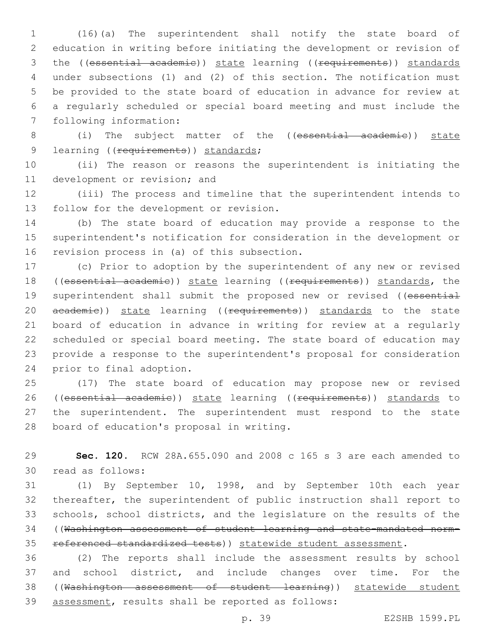(16)(a) The superintendent shall notify the state board of education in writing before initiating the development or revision of 3 the ((essential academie)) state learning ((requirements)) standards under subsections (1) and (2) of this section. The notification must be provided to the state board of education in advance for review at a regularly scheduled or special board meeting and must include the 7 following information:

 (i) The subject matter of the ((essential academic)) state 9 learning ((requirements)) standards;

 (ii) The reason or reasons the superintendent is initiating the 11 development or revision; and

 (iii) The process and timeline that the superintendent intends to 13 follow for the development or revision.

 (b) The state board of education may provide a response to the superintendent's notification for consideration in the development or 16 revision process in (a) of this subsection.

 (c) Prior to adoption by the superintendent of any new or revised 18 ((essential academie)) state learning ((requirements)) standards, the 19 superintendent shall submit the proposed new or revised ((essential 20 academie)) state learning ((requirements)) standards to the state board of education in advance in writing for review at a regularly scheduled or special board meeting. The state board of education may provide a response to the superintendent's proposal for consideration 24 prior to final adoption.

 (17) The state board of education may propose new or revised 26 ((essential academie)) state learning ((requirements)) standards to the superintendent. The superintendent must respond to the state 28 board of education's proposal in writing.

 **Sec. 120.** RCW 28A.655.090 and 2008 c 165 s 3 are each amended to read as follows:30

 (1) By September 10, 1998, and by September 10th each year thereafter, the superintendent of public instruction shall report to schools, school districts, and the legislature on the results of the ((Washington assessment of student learning and state-mandated norm-referenced standardized tests)) statewide student assessment.

 (2) The reports shall include the assessment results by school and school district, and include changes over time. For the ((Washington assessment of student learning)) statewide student 39 assessment, results shall be reported as follows: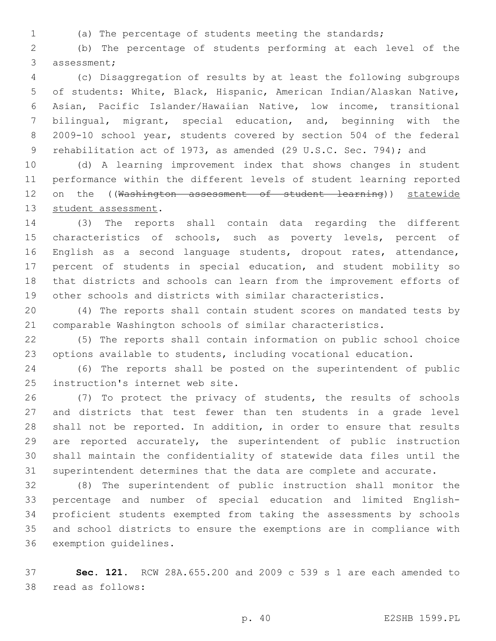(a) The percentage of students meeting the standards;

 (b) The percentage of students performing at each level of the 3 assessment;

 (c) Disaggregation of results by at least the following subgroups of students: White, Black, Hispanic, American Indian/Alaskan Native, Asian, Pacific Islander/Hawaiian Native, low income, transitional bilingual, migrant, special education, and, beginning with the 2009-10 school year, students covered by section 504 of the federal 9 rehabilitation act of 1973, as amended (29 U.S.C. Sec. 794); and

 (d) A learning improvement index that shows changes in student performance within the different levels of student learning reported 12 on the ((Washington assessment of student learning)) statewide 13 student assessment.

 (3) The reports shall contain data regarding the different 15 characteristics of schools, such as poverty levels, percent of English as a second language students, dropout rates, attendance, percent of students in special education, and student mobility so that districts and schools can learn from the improvement efforts of other schools and districts with similar characteristics.

 (4) The reports shall contain student scores on mandated tests by comparable Washington schools of similar characteristics.

 (5) The reports shall contain information on public school choice options available to students, including vocational education.

 (6) The reports shall be posted on the superintendent of public 25 instruction's internet web site.

 (7) To protect the privacy of students, the results of schools and districts that test fewer than ten students in a grade level shall not be reported. In addition, in order to ensure that results are reported accurately, the superintendent of public instruction shall maintain the confidentiality of statewide data files until the superintendent determines that the data are complete and accurate.

 (8) The superintendent of public instruction shall monitor the percentage and number of special education and limited English- proficient students exempted from taking the assessments by schools and school districts to ensure the exemptions are in compliance with 36 exemption guidelines.

 **Sec. 121.** RCW 28A.655.200 and 2009 c 539 s 1 are each amended to read as follows:38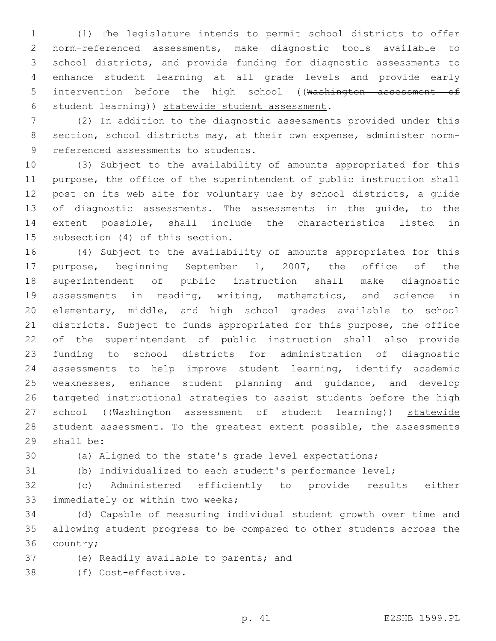(1) The legislature intends to permit school districts to offer norm-referenced assessments, make diagnostic tools available to school districts, and provide funding for diagnostic assessments to enhance student learning at all grade levels and provide early 5 intervention before the high school ((Washington assessment of 6 student learning)) statewide student assessment.

 (2) In addition to the diagnostic assessments provided under this section, school districts may, at their own expense, administer norm-9 referenced assessments to students.

 (3) Subject to the availability of amounts appropriated for this purpose, the office of the superintendent of public instruction shall post on its web site for voluntary use by school districts, a guide of diagnostic assessments. The assessments in the guide, to the extent possible, shall include the characteristics listed in 15 subsection (4) of this section.

 (4) Subject to the availability of amounts appropriated for this purpose, beginning September 1, 2007, the office of the superintendent of public instruction shall make diagnostic assessments in reading, writing, mathematics, and science in elementary, middle, and high school grades available to school districts. Subject to funds appropriated for this purpose, the office of the superintendent of public instruction shall also provide funding to school districts for administration of diagnostic assessments to help improve student learning, identify academic weaknesses, enhance student planning and guidance, and develop targeted instructional strategies to assist students before the high 27 school ((Washington assessment of student learning)) statewide 28 student assessment. To the greatest extent possible, the assessments 29 shall be:

(a) Aligned to the state's grade level expectations;

(b) Individualized to each student's performance level;

 (c) Administered efficiently to provide results either 33 immediately or within two weeks;

 (d) Capable of measuring individual student growth over time and allowing student progress to be compared to other students across the 36 country;

37 (e) Readily available to parents; and

(f) Cost-effective.38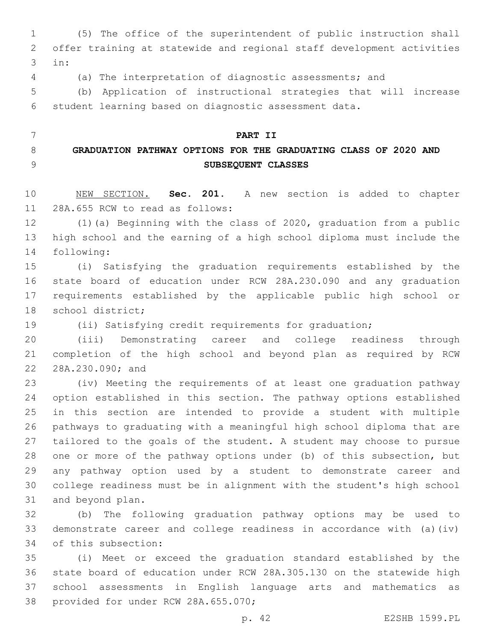(5) The office of the superintendent of public instruction shall offer training at statewide and regional staff development activities in:3

(a) The interpretation of diagnostic assessments; and

 (b) Application of instructional strategies that will increase student learning based on diagnostic assessment data.

 **PART II GRADUATION PATHWAY OPTIONS FOR THE GRADUATING CLASS OF 2020 AND SUBSEQUENT CLASSES**

 NEW SECTION. **Sec. 201.** A new section is added to chapter 11 28A.655 RCW to read as follows:

 (1)(a) Beginning with the class of 2020, graduation from a public high school and the earning of a high school diploma must include the 14 following:

 (i) Satisfying the graduation requirements established by the state board of education under RCW 28A.230.090 and any graduation requirements established by the applicable public high school or 18 school district;

(ii) Satisfying credit requirements for graduation;

 (iii) Demonstrating career and college readiness through completion of the high school and beyond plan as required by RCW 22 28A.230.090; and

 (iv) Meeting the requirements of at least one graduation pathway option established in this section. The pathway options established in this section are intended to provide a student with multiple pathways to graduating with a meaningful high school diploma that are tailored to the goals of the student. A student may choose to pursue one or more of the pathway options under (b) of this subsection, but any pathway option used by a student to demonstrate career and college readiness must be in alignment with the student's high school 31 and beyond plan.

 (b) The following graduation pathway options may be used to demonstrate career and college readiness in accordance with (a)(iv) 34 of this subsection:

 (i) Meet or exceed the graduation standard established by the state board of education under RCW 28A.305.130 on the statewide high school assessments in English language arts and mathematics as 38 provided for under RCW 28A.655.070;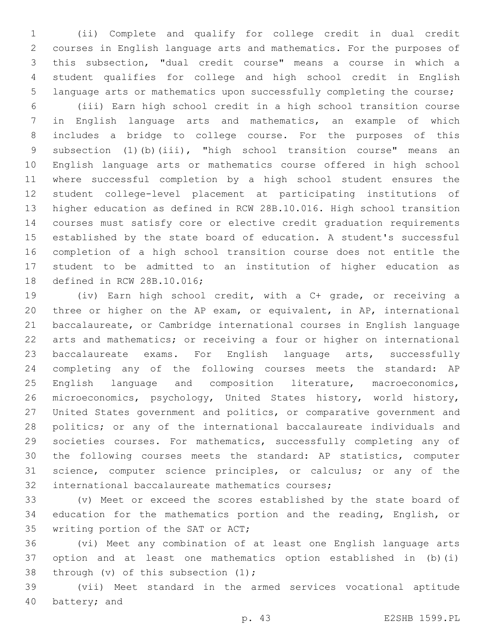(ii) Complete and qualify for college credit in dual credit courses in English language arts and mathematics. For the purposes of this subsection, "dual credit course" means a course in which a student qualifies for college and high school credit in English language arts or mathematics upon successfully completing the course;

 (iii) Earn high school credit in a high school transition course in English language arts and mathematics, an example of which includes a bridge to college course. For the purposes of this subsection (1)(b)(iii), "high school transition course" means an English language arts or mathematics course offered in high school where successful completion by a high school student ensures the student college-level placement at participating institutions of higher education as defined in RCW 28B.10.016. High school transition courses must satisfy core or elective credit graduation requirements established by the state board of education. A student's successful completion of a high school transition course does not entitle the student to be admitted to an institution of higher education as 18 defined in RCW 28B.10.016;

 (iv) Earn high school credit, with a C+ grade, or receiving a three or higher on the AP exam, or equivalent, in AP, international baccalaureate, or Cambridge international courses in English language arts and mathematics; or receiving a four or higher on international baccalaureate exams. For English language arts, successfully completing any of the following courses meets the standard: AP English language and composition literature, macroeconomics, microeconomics, psychology, United States history, world history, United States government and politics, or comparative government and politics; or any of the international baccalaureate individuals and societies courses. For mathematics, successfully completing any of the following courses meets the standard: AP statistics, computer science, computer science principles, or calculus; or any of the 32 international baccalaureate mathematics courses;

 (v) Meet or exceed the scores established by the state board of education for the mathematics portion and the reading, English, or 35 writing portion of the SAT or ACT;

 (vi) Meet any combination of at least one English language arts option and at least one mathematics option established in (b)(i) 38 through (v) of this subsection  $(1);$ 

 (vii) Meet standard in the armed services vocational aptitude 40 battery; and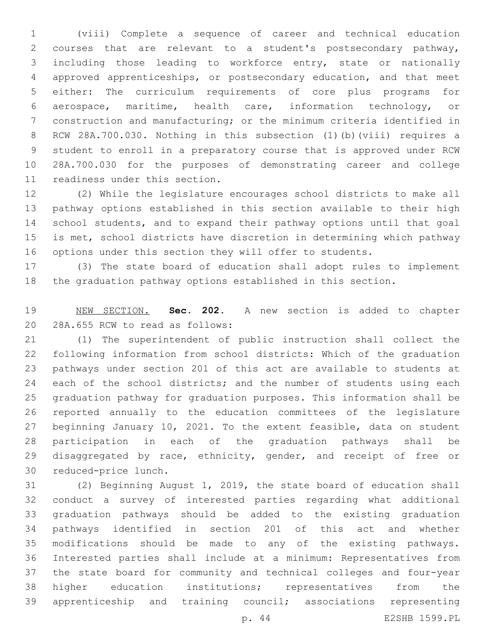(viii) Complete a sequence of career and technical education courses that are relevant to a student's postsecondary pathway, including those leading to workforce entry, state or nationally approved apprenticeships, or postsecondary education, and that meet either: The curriculum requirements of core plus programs for aerospace, maritime, health care, information technology, or construction and manufacturing; or the minimum criteria identified in RCW 28A.700.030. Nothing in this subsection (1)(b)(viii) requires a student to enroll in a preparatory course that is approved under RCW 28A.700.030 for the purposes of demonstrating career and college 11 readiness under this section.

 (2) While the legislature encourages school districts to make all pathway options established in this section available to their high school students, and to expand their pathway options until that goal is met, school districts have discretion in determining which pathway options under this section they will offer to students.

 (3) The state board of education shall adopt rules to implement the graduation pathway options established in this section.

 NEW SECTION. **Sec. 202.** A new section is added to chapter 20 28A.655 RCW to read as follows:

 (1) The superintendent of public instruction shall collect the following information from school districts: Which of the graduation pathways under section 201 of this act are available to students at 24 each of the school districts; and the number of students using each graduation pathway for graduation purposes. This information shall be reported annually to the education committees of the legislature beginning January 10, 2021. To the extent feasible, data on student participation in each of the graduation pathways shall be 29 disaggregated by race, ethnicity, gender, and receipt of free or 30 reduced-price lunch.

 (2) Beginning August 1, 2019, the state board of education shall conduct a survey of interested parties regarding what additional graduation pathways should be added to the existing graduation pathways identified in section 201 of this act and whether modifications should be made to any of the existing pathways. Interested parties shall include at a minimum: Representatives from the state board for community and technical colleges and four-year higher education institutions; representatives from the apprenticeship and training council; associations representing p. 44 E2SHB 1599.PL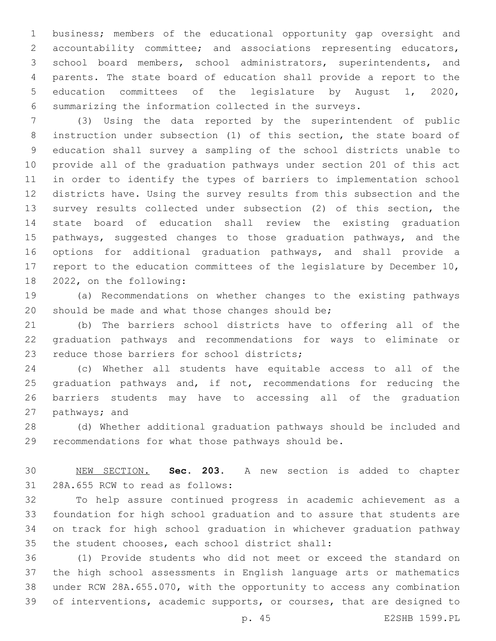business; members of the educational opportunity gap oversight and accountability committee; and associations representing educators, school board members, school administrators, superintendents, and parents. The state board of education shall provide a report to the education committees of the legislature by August 1, 2020, summarizing the information collected in the surveys.

 (3) Using the data reported by the superintendent of public instruction under subsection (1) of this section, the state board of education shall survey a sampling of the school districts unable to provide all of the graduation pathways under section 201 of this act in order to identify the types of barriers to implementation school districts have. Using the survey results from this subsection and the survey results collected under subsection (2) of this section, the state board of education shall review the existing graduation 15 pathways, suggested changes to those graduation pathways, and the options for additional graduation pathways, and shall provide a 17 report to the education committees of the legislature by December 10, 18 2022, on the following:

 (a) Recommendations on whether changes to the existing pathways 20 should be made and what those changes should be;

 (b) The barriers school districts have to offering all of the graduation pathways and recommendations for ways to eliminate or 23 reduce those barriers for school districts;

 (c) Whether all students have equitable access to all of the 25 graduation pathways and, if not, recommendations for reducing the barriers students may have to accessing all of the graduation 27 pathways; and

 (d) Whether additional graduation pathways should be included and recommendations for what those pathways should be.

 NEW SECTION. **Sec. 203.** A new section is added to chapter 31 28A.655 RCW to read as follows:

 To help assure continued progress in academic achievement as a foundation for high school graduation and to assure that students are on track for high school graduation in whichever graduation pathway 35 the student chooses, each school district shall:

 (1) Provide students who did not meet or exceed the standard on the high school assessments in English language arts or mathematics under RCW 28A.655.070, with the opportunity to access any combination of interventions, academic supports, or courses, that are designed to

p. 45 E2SHB 1599.PL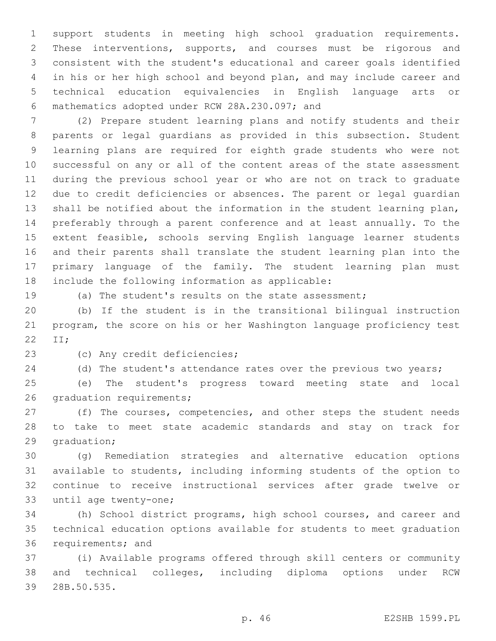support students in meeting high school graduation requirements. These interventions, supports, and courses must be rigorous and consistent with the student's educational and career goals identified in his or her high school and beyond plan, and may include career and technical education equivalencies in English language arts or mathematics adopted under RCW 28A.230.097; and6

 (2) Prepare student learning plans and notify students and their parents or legal guardians as provided in this subsection. Student learning plans are required for eighth grade students who were not successful on any or all of the content areas of the state assessment during the previous school year or who are not on track to graduate due to credit deficiencies or absences. The parent or legal guardian shall be notified about the information in the student learning plan, preferably through a parent conference and at least annually. To the extent feasible, schools serving English language learner students and their parents shall translate the student learning plan into the primary language of the family. The student learning plan must 18 include the following information as applicable:

(a) The student's results on the state assessment;

 (b) If the student is in the transitional bilingual instruction program, the score on his or her Washington language proficiency test 22 II;

23 (c) Any credit deficiencies;

(d) The student's attendance rates over the previous two years;

 (e) The student's progress toward meeting state and local 26 graduation requirements;

27 (f) The courses, competencies, and other steps the student needs to take to meet state academic standards and stay on track for 29 graduation;

 (g) Remediation strategies and alternative education options available to students, including informing students of the option to continue to receive instructional services after grade twelve or 33 until age twenty-one;

 (h) School district programs, high school courses, and career and technical education options available for students to meet graduation 36 requirements; and

 (i) Available programs offered through skill centers or community and technical colleges, including diploma options under RCW 39 28B.50.535.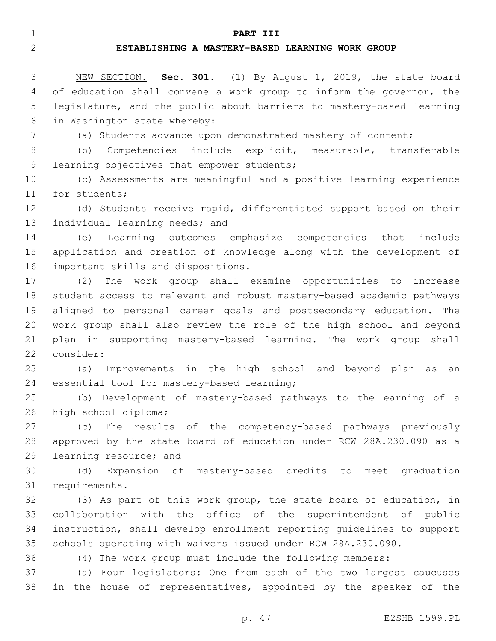#### **PART III**

### **ESTABLISHING A MASTERY-BASED LEARNING WORK GROUP**

 NEW SECTION. **Sec. 301.** (1) By August 1, 2019, the state board of education shall convene a work group to inform the governor, the legislature, and the public about barriers to mastery-based learning in Washington state whereby:

(a) Students advance upon demonstrated mastery of content;

 (b) Competencies include explicit, measurable, transferable 9 learning objectives that empower students;

 (c) Assessments are meaningful and a positive learning experience 11 for students;

 (d) Students receive rapid, differentiated support based on their 13 individual learning needs; and

 (e) Learning outcomes emphasize competencies that include application and creation of knowledge along with the development of 16 important skills and dispositions.

 (2) The work group shall examine opportunities to increase student access to relevant and robust mastery-based academic pathways aligned to personal career goals and postsecondary education. The work group shall also review the role of the high school and beyond plan in supporting mastery-based learning. The work group shall 22 consider:

 (a) Improvements in the high school and beyond plan as an 24 essential tool for mastery-based learning;

 (b) Development of mastery-based pathways to the earning of a 26 high school diploma;

 (c) The results of the competency-based pathways previously approved by the state board of education under RCW 28A.230.090 as a 29 learning resource; and

 (d) Expansion of mastery-based credits to meet graduation 31 requirements.

 (3) As part of this work group, the state board of education, in collaboration with the office of the superintendent of public instruction, shall develop enrollment reporting guidelines to support schools operating with waivers issued under RCW 28A.230.090.

(4) The work group must include the following members:

 (a) Four legislators: One from each of the two largest caucuses in the house of representatives, appointed by the speaker of the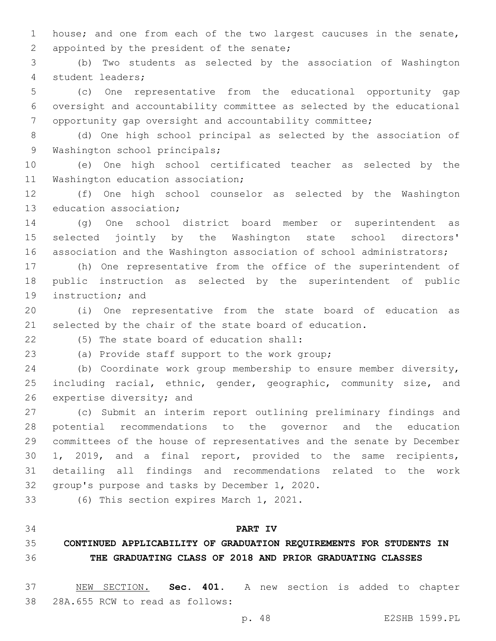house; and one from each of the two largest caucuses in the senate, 2 appointed by the president of the senate;

 (b) Two students as selected by the association of Washington 4 student leaders;

 (c) One representative from the educational opportunity gap oversight and accountability committee as selected by the educational opportunity gap oversight and accountability committee;

 (d) One high school principal as selected by the association of 9 Washington school principals;

 (e) One high school certificated teacher as selected by the 11 Washington education association;

 (f) One high school counselor as selected by the Washington 13 education association;

 (g) One school district board member or superintendent as selected jointly by the Washington state school directors' 16 association and the Washington association of school administrators;

 (h) One representative from the office of the superintendent of public instruction as selected by the superintendent of public 19 instruction; and

 (i) One representative from the state board of education as selected by the chair of the state board of education.

(5) The state board of education shall:22

(a) Provide staff support to the work group;23

 (b) Coordinate work group membership to ensure member diversity, 25 including racial, ethnic, gender, geographic, community size, and 26 expertise diversity; and

 (c) Submit an interim report outlining preliminary findings and potential recommendations to the governor and the education committees of the house of representatives and the senate by December 1, 2019, and a final report, provided to the same recipients, detailing all findings and recommendations related to the work 32 group's purpose and tasks by December 1, 2020.

33 (6) This section expires March 1, 2021.

### **PART IV**

# **CONTINUED APPLICABILITY OF GRADUATION REQUIREMENTS FOR STUDENTS IN THE GRADUATING CLASS OF 2018 AND PRIOR GRADUATING CLASSES**

 NEW SECTION. **Sec. 401.** A new section is added to chapter 38 28A.655 RCW to read as follows: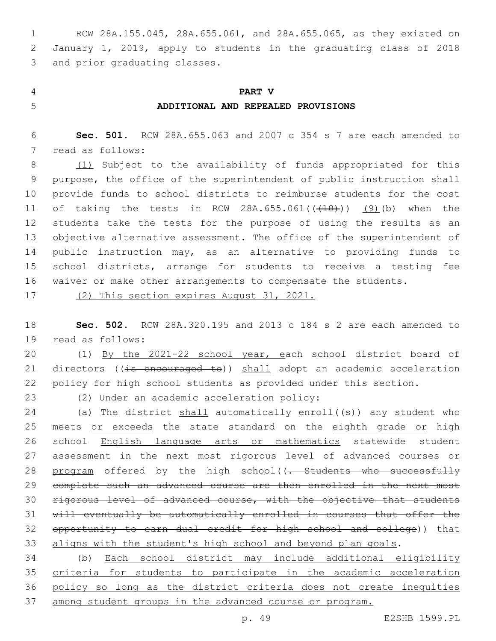RCW 28A.155.045, 28A.655.061, and 28A.655.065, as they existed on January 1, 2019, apply to students in the graduating class of 2018 3 and prior graduating classes.

# **PART V ADDITIONAL AND REPEALED PROVISIONS**

 **Sec. 501.** RCW 28A.655.063 and 2007 c 354 s 7 are each amended to 7 read as follows:

8 (1) Subject to the availability of funds appropriated for this purpose, the office of the superintendent of public instruction shall provide funds to school districts to reimburse students for the cost 11 of taking the tests in RCW 28A.655.061( $(410)$ ))  $(9)$  (b) when the students take the tests for the purpose of using the results as an 13 objective alternative assessment. The office of the superintendent of public instruction may, as an alternative to providing funds to school districts, arrange for students to receive a testing fee waiver or make other arrangements to compensate the students.

(2) This section expires August 31, 2021.

 **Sec. 502.** RCW 28A.320.195 and 2013 c 184 s 2 are each amended to 19 read as follows:

 (1) By the 2021-22 school year, each school district board of 21 directors ((is encouraged to)) shall adopt an academic acceleration policy for high school students as provided under this section.

23 (2) Under an academic acceleration policy:

24 (a) The district  $shall$  automatically enroll( $(s)$ ) any student who 25 meets or exceeds the state standard on the eighth grade or high school English language arts or mathematics statewide student 27 assessment in the next most rigorous level of advanced courses or 28 program offered by the high school((<del>. Students who successfully</del> complete such an advanced course are then enrolled in the next most rigorous level of advanced course, with the objective that students will eventually be automatically enrolled in courses that offer the opportunity to earn dual credit for high school and college)) that aligns with the student's high school and beyond plan goals.

 (b) Each school district may include additional eligibility criteria for students to participate in the academic acceleration policy so long as the district criteria does not create inequities among student groups in the advanced course or program.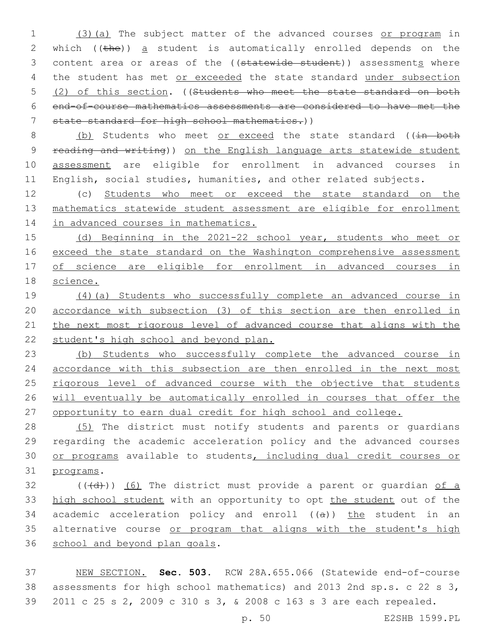1 (3)(a) The subject matter of the advanced courses or program in 2 which ((the)) a student is automatically enrolled depends on the 3 content area or areas of the ((statewide student)) assessments where 4 the student has met or exceeded the state standard under subsection 5 (2) of this section. ((Students who meet the state standard on both 6 end-of-course mathematics assessments are considered to have met the 7 state standard for high school mathematics.))

8 (b) Students who meet or exceed the state standard ((in both reading and writing)) on the English language arts statewide student assessment are eligible for enrollment in advanced courses in English, social studies, humanities, and other related subjects.

12 (c) Students who meet or exceed the state standard on the 13 mathematics statewide student assessment are eligible for enrollment 14 in advanced courses in mathematics.

15 (d) Beginning in the 2021-22 school year, students who meet or 16 exceed the state standard on the Washington comprehensive assessment 17 of science are eligible for enrollment in advanced courses in 18 science.

 (4)(a) Students who successfully complete an advanced course in accordance with subsection (3) of this section are then enrolled in the next most rigorous level of advanced course that aligns with the 22 student's high school and beyond plan.

23 (b) Students who successfully complete the advanced course in 24 accordance with this subsection are then enrolled in the next most 25 rigorous level of advanced course with the objective that students 26 will eventually be automatically enrolled in courses that offer the 27 opportunity to earn dual credit for high school and college.

 (5) The district must notify students and parents or guardians regarding the academic acceleration policy and the advanced courses or programs available to students, including dual credit courses or 31 programs.

 $32$  (( $\left(\frac{1}{d} \right)$ ) (6) The district must provide a parent or quardian of a 33 high school student with an opportunity to opt the student out of the 34 academic acceleration policy and enroll  $((a))$  the student in an 35 alternative course or program that aligns with the student's high 36 school and beyond plan goals.

37 NEW SECTION. **Sec. 503.** RCW 28A.655.066 (Statewide end-of-course 38 assessments for high school mathematics) and 2013 2nd sp.s. c 22 s 3, 39 2011 c 25 s 2, 2009 c 310 s 3, & 2008 c 163 s 3 are each repealed.

p. 50 E2SHB 1599.PL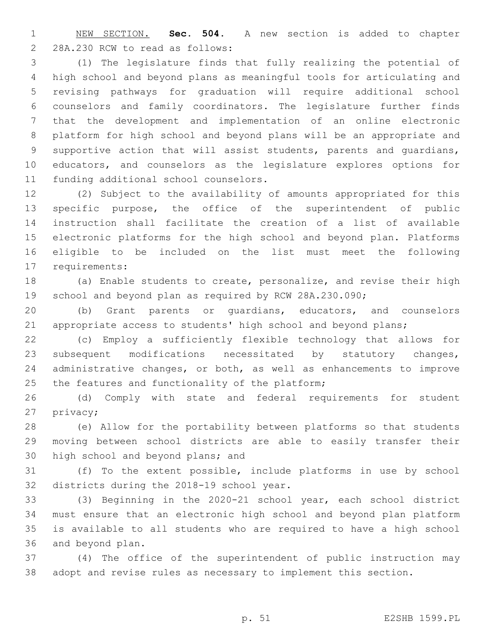NEW SECTION. **Sec. 504.** A new section is added to chapter 2 28A.230 RCW to read as follows:

 (1) The legislature finds that fully realizing the potential of high school and beyond plans as meaningful tools for articulating and revising pathways for graduation will require additional school counselors and family coordinators. The legislature further finds that the development and implementation of an online electronic platform for high school and beyond plans will be an appropriate and supportive action that will assist students, parents and guardians, educators, and counselors as the legislature explores options for 11 funding additional school counselors.

 (2) Subject to the availability of amounts appropriated for this specific purpose, the office of the superintendent of public instruction shall facilitate the creation of a list of available electronic platforms for the high school and beyond plan. Platforms eligible to be included on the list must meet the following 17 requirements:

 (a) Enable students to create, personalize, and revise their high 19 school and beyond plan as required by RCW 28A.230.090;

 (b) Grant parents or guardians, educators, and counselors appropriate access to students' high school and beyond plans;

 (c) Employ a sufficiently flexible technology that allows for subsequent modifications necessitated by statutory changes, administrative changes, or both, as well as enhancements to improve 25 the features and functionality of the platform;

 (d) Comply with state and federal requirements for student 27 privacy;

 (e) Allow for the portability between platforms so that students moving between school districts are able to easily transfer their 30 high school and beyond plans; and

 (f) To the extent possible, include platforms in use by school 32 districts during the 2018-19 school year.

 (3) Beginning in the 2020-21 school year, each school district must ensure that an electronic high school and beyond plan platform is available to all students who are required to have a high school 36 and beyond plan.

 (4) The office of the superintendent of public instruction may adopt and revise rules as necessary to implement this section.